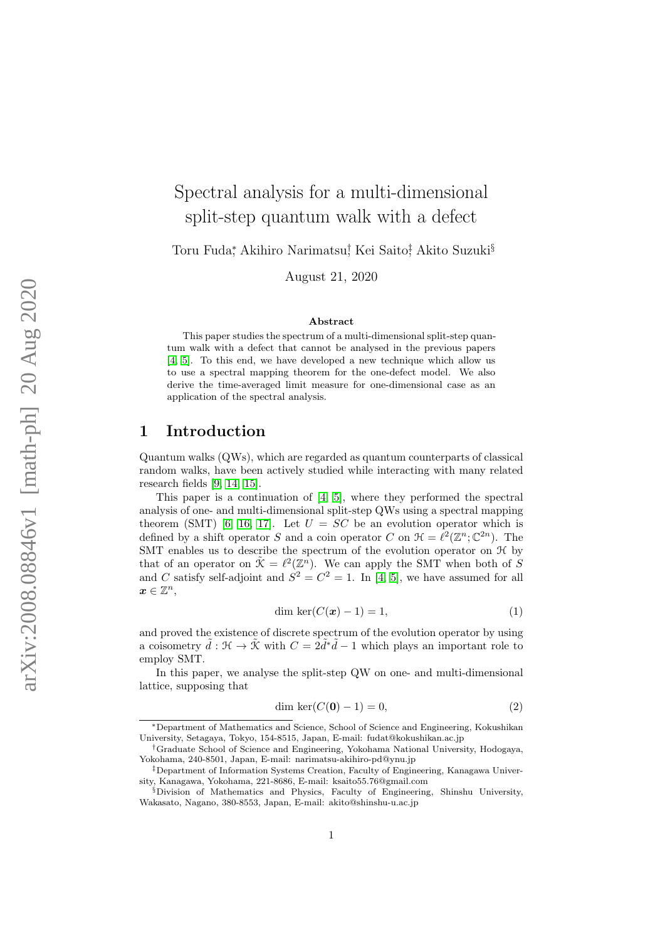# Spectral analysis for a multi-dimensional split-step quantum walk with a defect

Toru Fuda\*, Akihiro Narimatsu<sup>†</sup>, Kei Saito‡ Akito Suzuki<sup>§</sup>

August 21, 2020

#### Abstract

This paper studies the spectrum of a multi-dimensional split-step quantum walk with a defect that cannot be analysed in the previous papers [\[4,](#page-17-0) [5\]](#page-17-1). To this end, we have developed a new technique which allow us to use a spectral mapping theorem for the one-defect model. We also derive the time-averaged limit measure for one-dimensional case as an application of the spectral analysis.

#### 1 Introduction

Quantum walks (QWs), which are regarded as quantum counterparts of classical random walks, have been actively studied while interacting with many related research fields [\[9,](#page-18-0) [14,](#page-18-1) [15\]](#page-18-2).

This paper is a continuation of [\[4,](#page-17-0) [5\]](#page-17-1), where they performed the spectral analysis of one- and multi-dimensional split-step QWs using a spectral mapping theorem (SMT) [\[6,](#page-17-2) [16,](#page-18-3) [17\]](#page-18-4). Let  $U = SC$  be an evolution operator which is defined by a shift operator S and a coin operator C on  $\mathcal{H} = \ell^2(\mathbb{Z}^n;\mathbb{C}^{2n})$ . The SMT enables us to describe the spectrum of the evolution operator on H by that of an operator on  $\tilde{\mathcal{K}} = \ell^2(\mathbb{Z}^n)$ . We can apply the SMT when both of S and C satisfy self-adjoint and  $S^2 = C^2 = 1$ . In [\[4,](#page-17-0) [5\]](#page-17-1), we have assumed for all  $\boldsymbol{x} \in \mathbb{Z}^n$ 

<span id="page-0-0"></span>
$$
\dim \ker(C(\mathbf{x}) - 1) = 1,\tag{1}
$$

and proved the existence of discrete spectrum of the evolution operator by using a coisometry  $\tilde{d}: \mathcal{H} \to \tilde{\mathcal{K}}$  with  $C = 2\tilde{d}^*\tilde{d} - 1$  which plays an important role to employ SMT.

In this paper, we analyse the split-step QW on one- and multi-dimensional lattice, supposing that

$$
\dim \ker(C(\mathbf{0}) - 1) = 0,\tag{2}
$$

<sup>∗</sup>Department of Mathematics and Science, School of Science and Engineering, Kokushikan University, Setagaya, Tokyo, 154-8515, Japan, E-mail: fudat@kokushikan.ac.jp

<sup>†</sup>Graduate School of Science and Engineering, Yokohama National University, Hodogaya, Yokohama, 240-8501, Japan, E-mail: narimatsu-akihiro-pd@ynu.jp

<sup>‡</sup>Department of Information Systems Creation, Faculty of Engineering, Kanagawa University, Kanagawa, Yokohama, 221-8686, E-mail: ksaito55.76@gmail.com

<sup>§</sup>Division of Mathematics and Physics, Faculty of Engineering, Shinshu University, Wakasato, Nagano, 380-8553, Japan, E-mail: akito@shinshu-u.ac.jp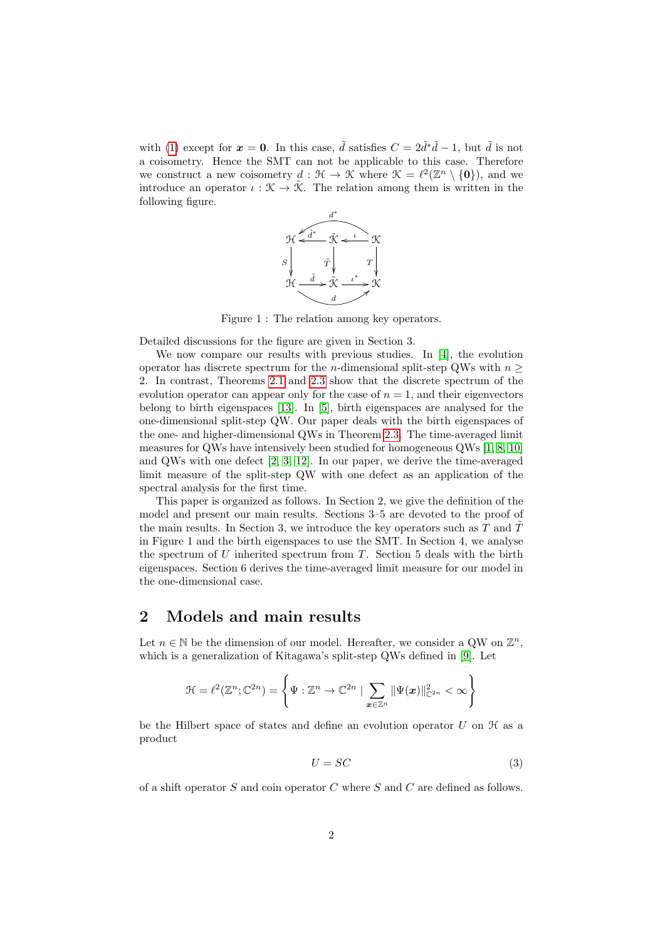with [\(1\)](#page-0-0) except for  $x = 0$ . In this case,  $\tilde{d}$  satisfies  $C = 2\tilde{d}^*\tilde{d} - 1$ , but  $\tilde{d}$  is not a coisometry. Hence the SMT can not be applicable to this case. Therefore we construct a new coisometry  $d : \mathcal{H} \to \mathcal{K}$  where  $\mathcal{K} = \ell^2(\mathbb{Z}^n \setminus \{0\})$ , and we introduce an operator  $\iota : \mathfrak{K} \to \tilde{\mathfrak{K}}$ . The relation among them is written in the following figure.



Figure 1 : The relation among key operators.

Detailed discussions for the figure are given in Section 3.

We now compare our results with previous studies. In [\[4\]](#page-17-0), the evolution operator has discrete spectrum for the *n*-dimensional split-step QWs with  $n \geq$ 2. In contrast, Theorems [2.1](#page-3-0) and [2.3](#page-3-1) show that the discrete spectrum of the evolution operator can appear only for the case of  $n = 1$ , and their eigenvectors belong to birth eigenspaces [\[13\]](#page-18-5). In [\[5\]](#page-17-1), birth eigenspaces are analysed for the one-dimensional split-step QW. Our paper deals with the birth eigenspaces of the one- and higher-dimensional QWs in Theorem [2.3.](#page-3-1) The time-averaged limit measures for QWs have intensively been studied for homogeneous QWs [\[1,](#page-17-3) [8,](#page-17-4) [10\]](#page-18-6) and QWs with one defect [\[2,](#page-17-5) [3,](#page-17-6) [12\]](#page-18-7). In our paper, we derive the time-averaged limit measure of the split-step QW with one defect as an application of the spectral analysis for the first time.

This paper is organized as follows. In Section 2, we give the definition of the model and present our main results. Sections 3–5 are devoted to the proof of the main results. In Section 3, we introduce the key operators such as  $T$  and  $T$ in Figure 1 and the birth eigenspaces to use the SMT. In Section 4, we analyse the spectrum of  $U$  inherited spectrum from  $T$ . Section 5 deals with the birth eigenspaces. Section 6 derives the time-averaged limit measure for our model in the one-dimensional case.

#### 2 Models and main results

Let  $n \in \mathbb{N}$  be the dimension of our model. Hereafter, we consider a QW on  $\mathbb{Z}^n$ , which is a generalization of Kitagawa's split-step QWs defined in [\[9\]](#page-18-0). Let

$$
\mathcal{H} = \ell^2(\mathbb{Z}^n; \mathbb{C}^{2n}) = \left\{ \Psi : \mathbb{Z}^n \to \mathbb{C}^{2n} \mid \sum_{\boldsymbol{x} \in \mathbb{Z}^n} \|\Psi(\boldsymbol{x})\|_{\mathbb{C}^{2n}}^2 < \infty \right\}
$$

be the Hilbert space of states and define an evolution operator  $U$  on  $\mathcal H$  as a product

$$
U = SC \tag{3}
$$

of a shift operator  $S$  and coin operator  $C$  where  $S$  and  $C$  are defined as follows.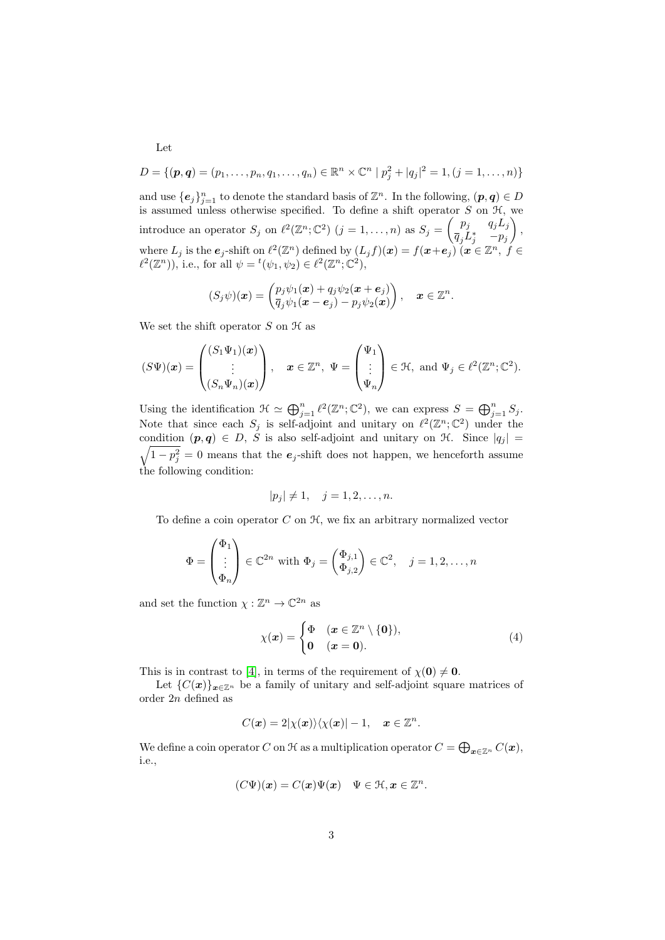$$
D = \{(\boldsymbol{p}, \boldsymbol{q}) = (p_1, \ldots, p_n, q_1, \ldots, q_n) \in \mathbb{R}^n \times \mathbb{C}^n \mid p_j^2 + |q_j|^2 = 1, (j = 1, \ldots, n)\}
$$

and use  $\{e_j\}_{j=1}^n$  to denote the standard basis of  $\mathbb{Z}^n$ . In the following,  $(p, q) \in D$ is assumed unless otherwise specified. To define a shift operator  $S$  on  $H$ , we introduce an operator  $S_j$  on  $\ell^2(\mathbb{Z}^n;\mathbb{C}^2)$   $(j = 1, ..., n)$  as  $S_j = \begin{pmatrix} p_j & q_j L_j \\ \overline{q} & I^* & -n_j \end{pmatrix}$  $\overline{q}_j L_j^*$  –  $p_j$  $\Big)$ , where  $L_j$  is the  $e_j$ -shift on  $\ell^2(\mathbb{Z}^n)$  defined by  $(L_j f)(x) = f(x+e_j)$   $(x \in \mathbb{Z}^n, f \in$  $\ell^2(\mathbb{Z}^n)$ , i.e., for all  $\psi = {}^t(\psi_1, \psi_2) \in \ell^2(\mathbb{Z}^n; \mathbb{C}^2)$ ,

$$
(S_j\psi)(\boldsymbol{x}) = \begin{pmatrix} p_j\psi_1(\boldsymbol{x}) + q_j\psi_2(\boldsymbol{x} + \boldsymbol{e}_j) \\ \overline{q}_j\psi_1(\boldsymbol{x} - \boldsymbol{e}_j) - p_j\psi_2(\boldsymbol{x}) \end{pmatrix}, \quad \boldsymbol{x} \in \mathbb{Z}^n.
$$

We set the shift operator  $S$  on  $H$  as

$$
(S\Psi)(\boldsymbol{x}) = \begin{pmatrix} (S_1\Psi_1)(\boldsymbol{x}) \\ \vdots \\ (S_n\Psi_n)(\boldsymbol{x}) \end{pmatrix}, \quad \boldsymbol{x} \in \mathbb{Z}^n, \ \Psi = \begin{pmatrix} \Psi_1 \\ \vdots \\ \Psi_n \end{pmatrix} \in \mathcal{H}, \text{ and } \Psi_j \in \ell^2(\mathbb{Z}^n; \mathbb{C}^2).
$$

Using the identification  $\mathfrak{H} \simeq \bigoplus_{j=1}^n \ell^2(\mathbb{Z}^n;\mathbb{C}^2)$ , we can express  $S = \bigoplus_{j=1}^n S_j$ . Note that since each  $S_j$  is self-adjoint and unitary on  $\ell^2(\mathbb{Z}^n;\mathbb{C}^2)$  under the condition  $(p, q) \in D$ , S is also self-adjoint and unitary on  $\mathcal{H}$ . Since  $|q_j|$  =  $\sqrt{1-p_j^2} = 0$  means that the  $e_j$ -shift does not happen, we henceforth assume the following condition:

$$
|p_j| \neq 1, \quad j = 1, 2, \dots, n.
$$

To define a coin operator  $C$  on  $H$ , we fix an arbitrary normalized vector

$$
\Phi = \begin{pmatrix} \Phi_1 \\ \vdots \\ \Phi_n \end{pmatrix} \in \mathbb{C}^{2n} \text{ with } \Phi_j = \begin{pmatrix} \Phi_{j,1} \\ \Phi_{j,2} \end{pmatrix} \in \mathbb{C}^2, \quad j = 1, 2, \dots, n
$$

and set the function  $\chi : \mathbb{Z}^n \to \mathbb{C}^{2n}$  as

$$
\chi(x) = \begin{cases} \Phi & (x \in \mathbb{Z}^n \setminus \{0\}), \\ 0 & (x = 0). \end{cases}
$$
 (4)

This is in contrast to [\[4\]](#page-17-0), in terms of the requirement of  $\chi(\mathbf{0}) \neq \mathbf{0}$ .

Let  ${C(\boldsymbol{x})}_{\boldsymbol{x}\in\mathbb{Z}^n}$  be a family of unitary and self-adjoint square matrices of order 2n defined as

$$
C(\boldsymbol{x})=2|\chi(\boldsymbol{x})\rangle\langle\chi(\boldsymbol{x})|-1,\quad \boldsymbol{x}\in\mathbb{Z}^n.
$$

We define a coin operator  $C$  on  $\mathcal H$  as a multiplication operator  $C=\bigoplus_{\bm x\in\mathbb Z^n}C(\bm x),$ i.e.,

$$
(C\Psi)(\boldsymbol{x})=C(\boldsymbol{x})\Psi(\boldsymbol{x})\quad \Psi\in\mathcal{H},\boldsymbol{x}\in\mathbb{Z}^n.
$$

Let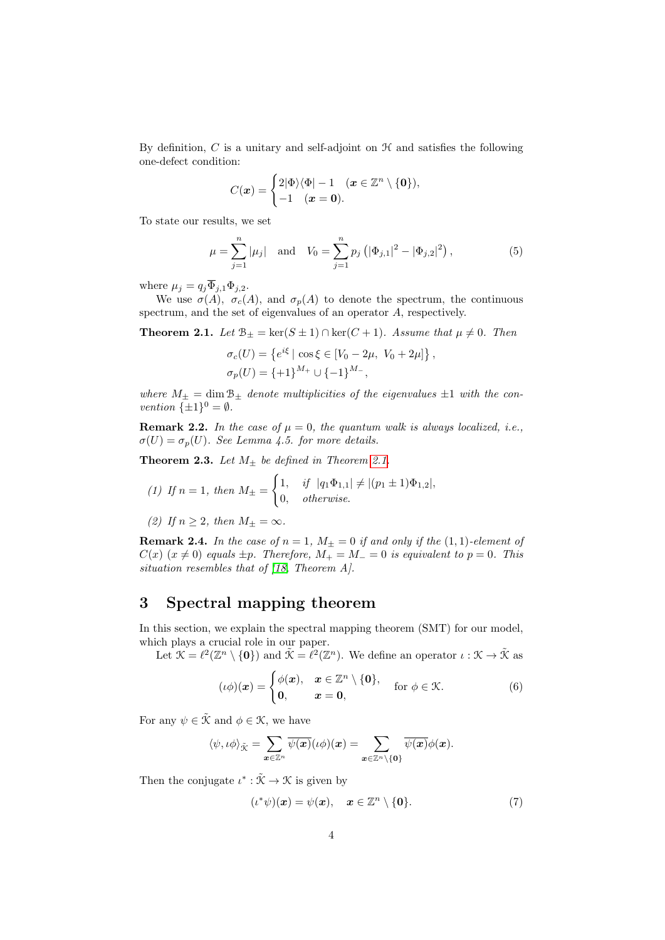By definition,  $C$  is a unitary and self-adjoint on  $H$  and satisfies the following one-defect condition:

$$
C(\boldsymbol{x}) = \begin{cases} 2|\Phi\rangle\langle\Phi| - 1 & (\boldsymbol{x} \in \mathbb{Z}^n \setminus \{\boldsymbol{0}\}), \\ -1 & (\boldsymbol{x} = \boldsymbol{0}). \end{cases}
$$

To state our results, we set

$$
\mu = \sum_{j=1}^{n} |\mu_j| \text{ and } V_0 = \sum_{j=1}^{n} p_j \left( |\Phi_{j,1}|^2 - |\Phi_{j,2}|^2 \right), \tag{5}
$$

<span id="page-3-4"></span>,

where  $\mu_j = q_j \overline{\Phi}_{j,1} \Phi_{j,2}$ .

We use  $\sigma(A)$ ,  $\sigma_c(A)$ , and  $\sigma_p(A)$  to denote the spectrum, the continuous spectrum, and the set of eigenvalues of an operator A, respectively.

<span id="page-3-0"></span>**Theorem 2.1.** Let  $\mathcal{B}_{\pm} = \ker(S \pm 1) \cap \ker(C + 1)$ . Assume that  $\mu \neq 0$ . Then

$$
\sigma_c(U) = \{ e^{i\xi} \mid \cos \xi \in [V_0 - 2\mu, V_0 + 2\mu] \}
$$
  

$$
\sigma_p(U) = \{ +1 \}^{M_+} \cup \{ -1 \}^{M_-},
$$

where  $M_{\pm} = \dim \mathcal{B}_{\pm}$  denote multiplicities of the eigenvalues  $\pm 1$  with the convention  $\{\pm 1\}^0 = \emptyset$ .

**Remark 2.2.** In the case of  $\mu = 0$ , the quantum walk is always localized, i.e.,  $\sigma(U) = \sigma_p(U)$ . See Lemma 4.5. for more details.

<span id="page-3-1"></span>**Theorem 2.3.** Let  $M_{\pm}$  be defined in Theorem [2.1.](#page-3-0)

(1) If 
$$
n = 1
$$
, then  $M_{\pm} = \begin{cases} 1, & \text{if } |q_1 \Phi_{1,1}| \neq |(p_1 \pm 1)\Phi_{1,2}|, \\ 0, & \text{otherwise.} \end{cases}$ 

(2) If 
$$
n \ge 2
$$
, then  $M_{\pm} = \infty$ .

**Remark 2.4.** In the case of  $n = 1$ ,  $M_{\pm} = 0$  if and only if the  $(1, 1)$ -element of  $C(x)$  ( $x \neq 0$ ) equals  $\pm p$ . Therefore,  $M_+ = M_- = 0$  is equivalent to  $p = 0$ . This situation resembles that of [\[18,](#page-18-8) Theorem A].

### 3 Spectral mapping theorem

In this section, we explain the spectral mapping theorem (SMT) for our model, which plays a crucial role in our paper.

Let  $\mathcal{K} = \ell^2(\mathbb{Z}^n \setminus \{\mathbf{0}\})$  and  $\tilde{\mathcal{K}} = \ell^2(\mathbb{Z}^n)$ . We define an operator  $\iota : \mathcal{K} \to \tilde{\mathcal{K}}$  as

$$
(\iota\phi)(\boldsymbol{x}) = \begin{cases} \phi(\boldsymbol{x}), & \boldsymbol{x} \in \mathbb{Z}^n \setminus \{\boldsymbol{0}\}, \\ \boldsymbol{0}, & \boldsymbol{x} = \boldsymbol{0}, \end{cases} \quad \text{for } \phi \in \mathcal{K}.
$$
 (6)

For any  $\psi \in \tilde{\mathcal{K}}$  and  $\phi \in \mathcal{K}$ , we have

$$
\langle \psi, \iota \phi \rangle_{\tilde{\mathcal{K}}} = \sum_{\bm{x} \in \mathbb{Z}^n} \overline{\psi(\bm{x})} (\iota \phi)(\bm{x}) = \sum_{\bm{x} \in \mathbb{Z}^n \setminus \{\bm{0}\}} \overline{\psi(\bm{x})} \phi(\bm{x}).
$$

Then the conjugate  $\iota^* : \tilde{\mathcal{K}} \to \mathcal{K}$  is given by

<span id="page-3-3"></span><span id="page-3-2"></span>
$$
(\iota^*\psi)(\mathbf{x}) = \psi(\mathbf{x}), \quad \mathbf{x} \in \mathbb{Z}^n \setminus \{\mathbf{0}\}. \tag{7}
$$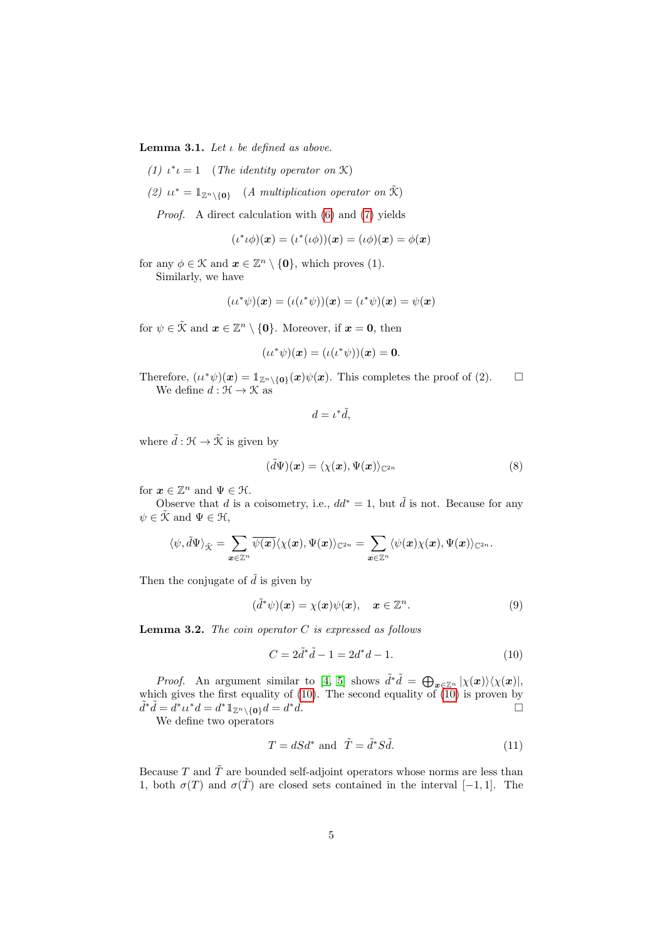<span id="page-4-2"></span>Lemma 3.1. Let  $\iota$  be defined as above.

- (1)  $\iota^* \iota = 1$  (The identity operator on X)
- (2)  $u^* = \mathbb{1}_{\mathbb{Z}^n \setminus \{0\}}$  (A multiplication operator on  $\tilde{\mathcal{K}}$ )

Proof. A direct calculation with [\(6\)](#page-3-2) and [\(7\)](#page-3-3) yields

$$
(\iota^*\iota\phi)(\boldsymbol{x})=(\iota^*(\iota\phi))(\boldsymbol{x})=(\iota\phi)(\boldsymbol{x})=\phi(\boldsymbol{x})
$$

for any  $\phi \in \mathcal{K}$  and  $\boldsymbol{x} \in \mathbb{Z}^n \setminus \{\boldsymbol{0}\},$  which proves (1). Similarly, we have

$$
(\iota \iota^* \psi)(\boldsymbol{x}) = (\iota(\iota^* \psi))(\boldsymbol{x}) = (\iota^* \psi)(\boldsymbol{x}) = \psi(\boldsymbol{x})
$$

for  $\psi \in \tilde{\mathcal{K}}$  and  $\boldsymbol{x} \in \mathbb{Z}^n \setminus \{\boldsymbol{0}\}\$ . Moreover, if  $\boldsymbol{x} = \boldsymbol{0}$ , then

$$
(\iota \iota^* \psi)(\boldsymbol{x}) = (\iota(\iota^* \psi))(\boldsymbol{x}) = \boldsymbol{0}.
$$

Therefore,  $(u^*\psi)(x) = \mathbb{1}_{\mathbb{Z}^n \setminus \{0\}}(x)\psi(x)$ . This completes the proof of (2). We define  $d : \mathcal{H} \to \mathcal{K}$  as

$$
d=\iota^*\tilde{d},
$$

where  $\tilde{d} : \mathcal{H} \to \tilde{\mathcal{K}}$  is given by

$$
(\tilde{d}\Psi)(\boldsymbol{x}) = \langle \chi(\boldsymbol{x}), \Psi(\boldsymbol{x}) \rangle_{\mathbb{C}^{2n}} \tag{8}
$$

for  $\mathbf{x} \in \mathbb{Z}^n$  and  $\Psi \in \mathcal{H}$ .

Observe that d is a coisometry, i.e.,  $dd^* = 1$ , but  $\tilde{d}$  is not. Because for any  $\psi \in \mathcal{K}$  and  $\Psi \in \mathcal{H}$ ,

$$
\langle \psi, \tilde d\Psi \rangle_{\tilde {\mathcal K}} = \sum_{\boldsymbol x \in \mathbb{Z}^n} \overline{\psi(\boldsymbol x)} \langle \chi(\boldsymbol x), \Psi(\boldsymbol x) \rangle_{\mathbb{C}^{2n}} = \sum_{\boldsymbol x \in \mathbb{Z}^n} \langle \psi(\boldsymbol x) \chi(\boldsymbol x), \Psi(\boldsymbol x) \rangle_{\mathbb{C}^{2n}}.
$$

Then the conjugate of  $\tilde{d}$  is given by

$$
(\tilde{d}^*\psi)(\boldsymbol{x}) = \chi(\boldsymbol{x})\psi(\boldsymbol{x}), \quad \boldsymbol{x} \in \mathbb{Z}^n. \tag{9}
$$

**Lemma 3.2.** The coin operator  $C$  is expressed as follows

<span id="page-4-0"></span>
$$
C = 2\tilde{d}^*\tilde{d} - 1 = 2d^*d - 1.
$$
 (10)

*Proof.* An argument similar to [\[4,](#page-17-0) [5\]](#page-17-1) shows  $\tilde{d}^*\tilde{d} = \bigoplus_{\bm{x} \in \mathbb{Z}^n} |\chi(\bm{x})\rangle \langle \chi(\bm{x})|,$ which gives the first equality of [\(10\)](#page-4-0). The second equality of [\(10\)](#page-4-0) is proven by  $\tilde{d}^*\tilde{d} = \tilde{d}^*\iota\iota^*d = d^*\mathbb{1}_{\mathbb{Z}^n\setminus\{\mathbf{0}\}}d = d$  $\mathbf{A}$ .

We define two operators

<span id="page-4-1"></span>
$$
T = dSd^* \text{ and } \tilde{T} = \tilde{d}^*S\tilde{d}. \tag{11}
$$

Because T and  $\tilde{T}$  are bounded self-adjoint operators whose norms are less than 1, both  $\sigma(T)$  and  $\sigma(T)$  are closed sets contained in the interval [−1, 1]. The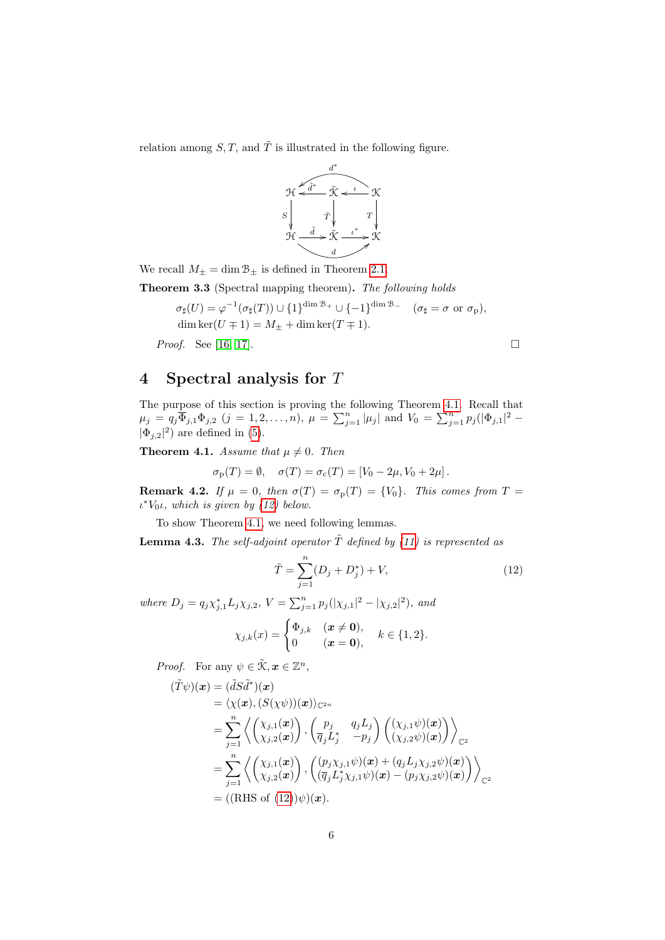relation among  $S, T$ , and  $\tilde{T}$  is illustrated in the following figure.



We recall  $M_{\pm} = \dim \mathcal{B}_{\pm}$  is defined in Theorem [2.1.](#page-3-0)

Theorem 3.3 (Spectral mapping theorem). The following holds

$$
\sigma_{\sharp}(U) = \varphi^{-1}(\sigma_{\sharp}(T)) \cup \{1\}^{\dim \mathcal{B}_+} \cup \{-1\}^{\dim \mathcal{B}_-} \quad (\sigma_{\sharp} = \sigma \text{ or } \sigma_{p}),
$$
  
dim ker $(U \mp 1) = M_{\pm} + \dim \ker(T \mp 1).$ 

*Proof.* See [\[16,](#page-18-3) [17\]](#page-18-4).

### 4 Spectral analysis for T

The purpose of this section is proving the following Theorem [4.1.](#page-5-0) Recall that  $\mu_j = q_j \overline{\Phi}_{j,1} \Phi_{j,2}$   $(j = 1, 2, ..., n)$ ,  $\mu = \sum_{j=1}^n |\mu_j|$  and  $V_0 = \sum_{j=1}^n p_j (|\Phi_{j,1}|^2 |\Phi_{j,2}|^2$  are defined in [\(5\)](#page-3-4).

<span id="page-5-0"></span>**Theorem 4.1.** Assume that  $\mu \neq 0$ . Then

$$
\sigma_{\rm p}(T) = \emptyset, \quad \sigma(T) = \sigma_{\rm c}(T) = [V_0 - 2\mu, V_0 + 2\mu].
$$

**Remark 4.2.** If  $\mu = 0$ , then  $\sigma(T) = \sigma_p(T) = \{V_0\}$ . This comes from  $T =$  $\iota^*V_0\iota$ , which is given by [\(12\)](#page-5-1) below.

To show Theorem [4.1,](#page-5-0) we need following lemmas.

**Lemma 4.3.** The self-adjoint operator  $\tilde{T}$  defined by [\(11\)](#page-4-1) is represented as

$$
\tilde{T} = \sum_{j=1}^{n} (D_j + D_j^*) + V,\tag{12}
$$

where  $D_j = q_j \chi_{j,1}^* L_j \chi_{j,2}, V = \sum_{j=1}^n p_j (|\chi_{j,1}|^2 - |\chi_{j,2}|^2),$  and

$$
\chi_{j,k}(x) = \begin{cases} \Phi_{j,k} & (\boldsymbol{x} \neq \boldsymbol{0}), \\ 0 & (\boldsymbol{x} = \boldsymbol{0}), \end{cases} \quad k \in \{1,2\}.
$$

*Proof.* For any  $\psi \in \tilde{\mathcal{K}}, \mathbf{x} \in \mathbb{Z}^n$ ,

$$
(\tilde{T}\psi)(\boldsymbol{x}) = (\tilde{d}S\tilde{d}^*)(\boldsymbol{x})
$$
  
\n
$$
= \langle \chi(\boldsymbol{x}), (S(\chi\psi))(\boldsymbol{x}) \rangle_{\mathbb{C}^{2n}}
$$
  
\n
$$
= \sum_{j=1}^n \left\langle \begin{pmatrix} \chi_{j,1}(\boldsymbol{x}) \\ \chi_{j,2}(\boldsymbol{x}) \end{pmatrix}, \begin{pmatrix} p_j & q_j L_j \\ \overline{q}_j L_j^* & -p_j \end{pmatrix} \begin{pmatrix} (\chi_{j,1}\psi)(\boldsymbol{x}) \\ (\chi_{j,2}\psi)(\boldsymbol{x}) \end{pmatrix} \right\rangle_{\mathbb{C}^2}
$$
  
\n
$$
= \sum_{j=1}^n \left\langle \begin{pmatrix} \chi_{j,1}(\boldsymbol{x}) \\ \chi_{j,2}(\boldsymbol{x}) \end{pmatrix}, \begin{pmatrix} (p_j \chi_{j,1}\psi)(\boldsymbol{x}) + (q_j L_j \chi_{j,2}\psi)(\boldsymbol{x}) \\ (\overline{q}_j L_j^* \chi_{j,1}\psi)(\boldsymbol{x}) - (p_j \chi_{j,2}\psi)(\boldsymbol{x}) \end{pmatrix} \right\rangle_{\mathbb{C}^2}
$$
  
\n
$$
= ((\text{RHS of } (12))\psi)(\boldsymbol{x}).
$$

<span id="page-5-1"></span>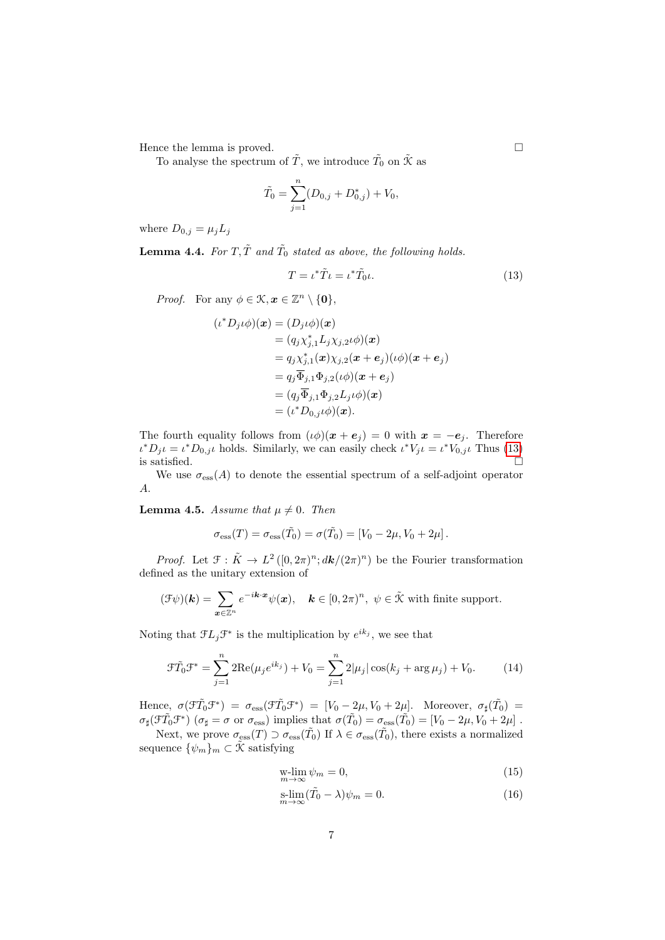Hence the lemma is proved.  $\Box$ 

To analyse the spectrum of  $\tilde{T}$ , we introduce  $\tilde{T}_0$  on  $\tilde{\mathcal{K}}$  as

$$
\tilde{T}_0 = \sum_{j=1}^n (D_{0,j} + D_{0,j}^*) + V_0,
$$

where  $D_{0,j} = \mu_j L_j$ 

**Lemma 4.4.** For  $T, \tilde{T}$  and  $\tilde{T}_0$  stated as above, the following holds.

$$
T = \iota^* \tilde{T} \iota = \iota^* \tilde{T}_0 \iota. \tag{13}
$$

*Proof.* For any  $\phi \in \mathcal{K}, \mathbf{x} \in \mathbb{Z}^n \setminus \{\mathbf{0}\},\$ 

$$
(i^* D_j \iota \phi)(\boldsymbol{x}) = (D_j \iota \phi)(\boldsymbol{x})
$$
  
\n
$$
= (q_j \chi_{j,1}^* L_j \chi_{j,2} \iota \phi)(\boldsymbol{x})
$$
  
\n
$$
= q_j \chi_{j,1}^*(\boldsymbol{x}) \chi_{j,2}(\boldsymbol{x} + \boldsymbol{e}_j)(\iota \phi)(\boldsymbol{x} + \boldsymbol{e}_j)
$$
  
\n
$$
= q_j \overline{\Phi}_{j,1} \Phi_{j,2}(\iota \phi)(\boldsymbol{x} + \boldsymbol{e}_j)
$$
  
\n
$$
= (q_j \overline{\Phi}_{j,1} \Phi_{j,2} L_j \iota \phi)(\boldsymbol{x})
$$
  
\n
$$
= (\iota^* D_{0,j} \iota \phi)(\boldsymbol{x}).
$$

The fourth equality follows from  $(\iota \phi)(x + e_i) = 0$  with  $x = -e_i$ . Therefore  $\iota^* D_j \iota = \iota^* D_{0,j} \iota$  holds. Similarly, we can easily check  $\iota^* V_j \iota = \iota^* V_{0,j} \iota$  Thus [\(13\)](#page-6-0) is satisfied.  $\Box$ 

We use  $\sigma_{\rm ess}(A)$  to denote the essential spectrum of a self-adjoint operator A.

<span id="page-6-3"></span>**Lemma 4.5.** Assume that  $\mu \neq 0$ . Then

$$
\sigma_{\rm ess}(T) = \sigma_{\rm ess}(\tilde{T}_0) = \sigma(\tilde{T}_0) = [V_0 - 2\mu, V_0 + 2\mu].
$$

*Proof.* Let  $\mathcal{F}: \tilde{K} \to L^2([0, 2\pi)^n; dk/(2\pi)^n)$  be the Fourier transformation defined as the unitary extension of

$$
(\mathcal{F}\psi)(\mathbf{k}) = \sum_{\mathbf{x}\in\mathbb{Z}^n} e^{-i\mathbf{k}\cdot\mathbf{x}} \psi(\mathbf{x}), \quad \mathbf{k}\in[0,2\pi)^n, \ \psi\in\tilde{\mathcal{K}} \text{ with finite support.}
$$

Noting that  $\mathfrak{F}L_j\mathfrak{F}^*$  is the multiplication by  $e^{ik_j}$ , we see that

$$
\mathcal{F}\tilde{T}_0 \mathcal{F}^* = \sum_{j=1}^n 2\text{Re}(\mu_j e^{ik_j}) + V_0 = \sum_{j=1}^n 2|\mu_j| \cos(k_j + \arg \mu_j) + V_0.
$$
 (14)

Hence,  $\sigma(\tilde{\mathcal{F}}_0^*\mathcal{F}^*) = \sigma_{\text{ess}}(\tilde{\mathcal{F}}_0^*\mathcal{F}^*) = [V_0 - 2\mu, V_0 + 2\mu]$ . Moreover,  $\sigma_\sharp(\tilde{T}_0) =$  $\sigma_{\sharp}(\mathcal{F}\tilde{T}_0\mathcal{F}^*)$   $(\sigma_{\sharp} = \sigma \text{ or } \sigma_{\text{ess}})$  implies that  $\sigma(\tilde{T}_0) = \sigma_{\text{ess}}(\tilde{T}_0) = [V_0 - 2\mu, V_0 + 2\mu]$ .

Next, we prove  $\sigma_{\rm ess}(T) \supset \sigma_{\rm ess}(\tilde{T}_0)$  If  $\lambda \in \sigma_{\rm ess}(\tilde{T}_0)$ , there exists a normalized sequence  $\{\psi_m\}_m \subset \tilde{\mathcal{K}}$  satisfying

<span id="page-6-4"></span><span id="page-6-2"></span><span id="page-6-1"></span>
$$
\begin{aligned} \n\text{w-lim } \psi_m = 0, \\ \n\text{m} \to \infty \n\end{aligned} \tag{15}
$$

$$
\underset{m \to \infty}{\text{s-lim}} (\tilde{T}_0 - \lambda)\psi_m = 0. \tag{16}
$$

<span id="page-6-0"></span>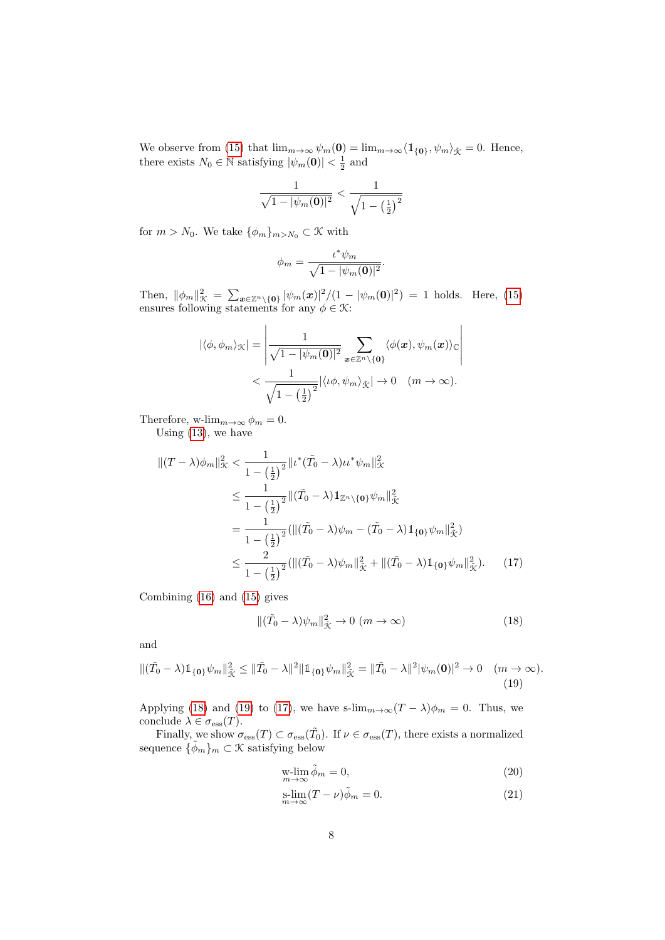We observe from [\(15\)](#page-6-1) that  $\lim_{m\to\infty}\psi_m(\mathbf{0}) = \lim_{m\to\infty}\langle \mathbb{1}_{\{\mathbf{0}\}}, \psi_m\rangle_{\tilde{\mathcal{K}}} = 0$ . Hence, there exists  $N_0 \in \mathbb{N}$  satisfying  $|\psi_m(\mathbf{0})| < \frac{1}{2}$  and

$$
\frac{1}{\sqrt{1-|\psi_m(\mathbf{0})|^2}} < \frac{1}{\sqrt{1-\left(\frac{1}{2}\right)^2}}
$$

for  $m > N_0$ . We take  $\{\phi_m\}_{m>N_0} \subset \mathcal{K}$  with

$$
\phi_m = \frac{\iota^* \psi_m}{\sqrt{1 - |\psi_m(\mathbf{0})|^2}}.
$$

Then,  $\|\phi_m\|_{\mathcal{K}}^2 = \sum_{\mathbf{x}\in\mathbb{Z}^n\backslash\{\mathbf{0}\}} |\psi_m(\mathbf{x})|^2/(1 - |\psi_m(\mathbf{0})|^2) = 1$  holds. Here, [\(15\)](#page-6-1) ensures following statements for any  $\phi \in \mathcal{K}$ :

$$
|\langle \phi, \phi_m \rangle_{\mathcal{K}}| = \left| \frac{1}{\sqrt{1 - |\psi_m(\mathbf{0})|^2}} \sum_{\mathbf{x} \in \mathbb{Z}^n \setminus \{\mathbf{0}\}} \langle \phi(\mathbf{x}), \psi_m(\mathbf{x}) \rangle_{\mathbb{C}} \right|
$$
  

$$
< \frac{1}{\sqrt{1 - (\frac{1}{2})^2}} |\langle \iota \phi, \psi_m \rangle_{\tilde{\mathcal{K}}} | \to 0 \quad (m \to \infty).
$$

Therefore, w- $\lim_{m\to\infty}\phi_m=0$ .

Using [\(13\)](#page-6-0), we have

$$
\begin{split} \|(T-\lambda)\phi_m\|_{\mathcal{K}}^2 &< \frac{1}{1-\left(\frac{1}{2}\right)^2} \|u^*(\tilde{T}_0-\lambda)u^*\psi_m\|_{\mathcal{K}}^2 \\ &< \frac{1}{1-\left(\frac{1}{2}\right)^2} \|(\tilde{T}_0-\lambda)\mathbb{1}_{\mathbb{Z}^n\backslash{\{\mathbf{0}\}}}\psi_m\|_{\tilde{\mathcal{K}}}^2 \\ &= \frac{1}{1-\left(\frac{1}{2}\right)^2} (\|(\tilde{T}_0-\lambda)\psi_m - (\tilde{T}_0-\lambda)\mathbb{1}_{\{\mathbf{0}\}}\psi_m\|_{\tilde{\mathcal{K}}}^2) \\ &< \frac{2}{1-\left(\frac{1}{2}\right)^2} (\|(\tilde{T}_0-\lambda)\psi_m\|_{\tilde{\mathcal{K}}}^2 + \|(\tilde{T}_0-\lambda)\mathbb{1}_{\{\mathbf{0}\}}\psi_m\|_{\tilde{\mathcal{K}}}^2). \end{split} \tag{17}
$$

Combining [\(16\)](#page-6-2) and [\(15\)](#page-6-1) gives

<span id="page-7-2"></span><span id="page-7-0"></span>
$$
\|(\tilde{T}_0 - \lambda)\psi_m\|_{\tilde{\mathcal{K}}}^2 \to 0 \ (m \to \infty) \tag{18}
$$

and

$$
\|(\tilde{T}_0 - \lambda)1\|_{\{0\}}\psi_m\|_{\tilde{\mathcal{K}}}^2 \le \|\tilde{T}_0 - \lambda\|^2\|1\|_{\{0\}}\psi_m\|_{\tilde{\mathcal{K}}}^2 = \|\tilde{T}_0 - \lambda\|^2|\psi_m(0)|^2 \to 0 \quad (m \to \infty).
$$
\n(19)

Applying [\(18\)](#page-7-0) and [\(19\)](#page-7-1) to [\(17\)](#page-7-2), we have s-lim<sub>m→∞</sub>( $T - \lambda$ ) $\phi_m = 0$ . Thus, we conclude  $\lambda \in \sigma_{\text{ess}}(T)$ .

Finally, we show  $\sigma_{\rm ess}(T) \subset \sigma_{\rm ess}(\tilde{T}_0)$ . If  $\nu \in \sigma_{\rm ess}(T)$ , there exists a normalized sequence  $\{\tilde{\phi}_m\}_m \subset \mathcal{K}$  satisfying below

<span id="page-7-4"></span><span id="page-7-3"></span><span id="page-7-1"></span>
$$
\underset{m \to \infty}{\text{w-lim}} \tilde{\phi}_m = 0,\tag{20}
$$

$$
\underset{m \to \infty}{\text{s-lim}} (T - \nu)\tilde{\phi}_m = 0. \tag{21}
$$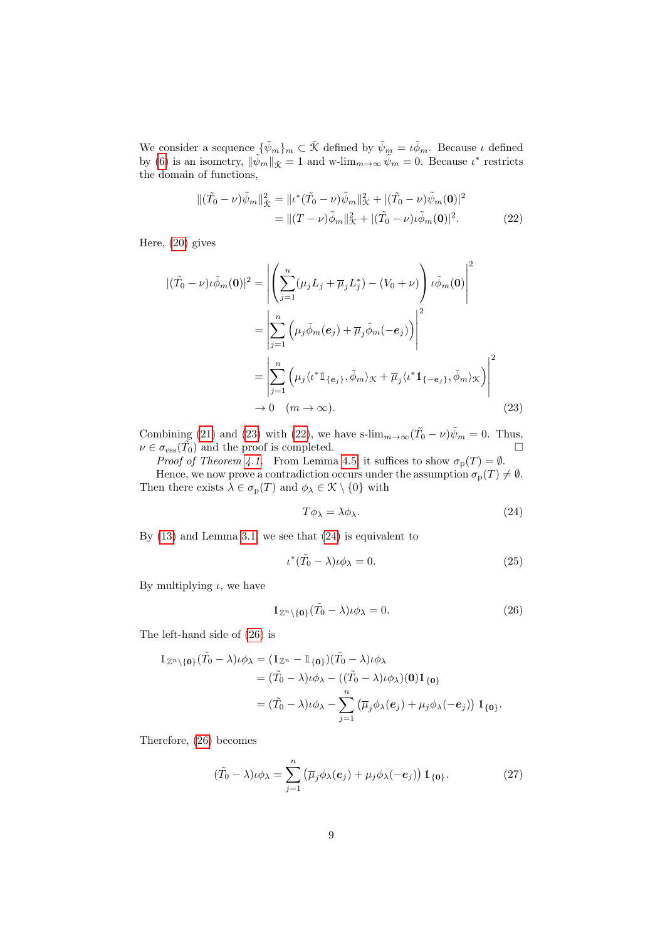We consider a sequence  $\{\tilde{\psi}_m\}_m \subset \tilde{\mathcal{K}}$  defined by  $\tilde{\psi}_m = \iota \tilde{\phi}_m$ . Because  $\iota$  defined by [\(6\)](#page-3-2) is an isometry,  $\|\tilde{\psi}_m\|_{\tilde{\mathcal{K}}} = 1$  and w-lim $_{m\to\infty} \tilde{\psi}_m = 0$ . Because  $\iota^*$  restricts the domain of functions,

<span id="page-8-1"></span>
$$
\begin{split} \|(\tilde{T}_0 - \nu)\tilde{\psi}_m\|_{\tilde{\mathcal{K}}}^2 &= \| \iota^*(\tilde{T}_0 - \nu)\tilde{\psi}_m\|_{\mathcal{K}}^2 + |(\tilde{T}_0 - \nu)\tilde{\psi}_m(\mathbf{0})|^2 \\ &= \| (T - \nu)\tilde{\phi}_m\|_{\mathcal{K}}^2 + |(\tilde{T}_0 - \nu)\iota\tilde{\phi}_m(\mathbf{0})|^2. \end{split} \tag{22}
$$

Here, [\(20\)](#page-7-3) gives

$$
|(\tilde{T}_0 - \nu)\iota\tilde{\phi}_m(\mathbf{0})|^2 = \left| \left( \sum_{j=1}^n (\mu_j L_j + \overline{\mu}_j L_j^*) - (V_0 + \nu) \right) \iota\tilde{\phi}_m(\mathbf{0}) \right|^2
$$
  
\n
$$
= \left| \sum_{j=1}^n \left( \mu_j \tilde{\phi}_m(\mathbf{e}_j) + \overline{\mu}_j \tilde{\phi}_m(-\mathbf{e}_j) \right) \right|^2
$$
  
\n
$$
= \left| \sum_{j=1}^n \left( \mu_j \langle \iota^* \mathbb{1}_{\{\mathbf{e}_j\}}, \tilde{\phi}_m \rangle_{\mathcal{K}} + \overline{\mu}_j \langle \iota^* \mathbb{1}_{\{-\mathbf{e}_j\}}, \tilde{\phi}_m \rangle_{\mathcal{K}} \right) \right|^2
$$
  
\n
$$
\to 0 \quad (m \to \infty).
$$
 (23)

Combining [\(21\)](#page-7-4) and [\(23\)](#page-8-0) with [\(22\)](#page-8-1), we have s- $\lim_{m\to\infty} (\tilde{T}_0 - \nu) \tilde{\psi}_m = 0$ . Thus,  $\nu \in \sigma_{\rm ess}(\tilde{T_0})$  and the proof is completed.

Proof of Theorem [4.1.](#page-5-0) From Lemma [4.5,](#page-6-3) it suffices to show  $\sigma_{\rm p}(T) = \emptyset$ . Hence, we now prove a contradiction occurs under the assumption  $\sigma_p(T) \neq \emptyset$ . Then there exists  $\lambda \in \sigma_{\mathbf{p}}(T)$  and  $\phi_{\lambda} \in \mathcal{K} \setminus \{0\}$  with

<span id="page-8-3"></span><span id="page-8-2"></span><span id="page-8-0"></span>
$$
T\phi_{\lambda} = \lambda \phi_{\lambda}.
$$
 (24)

By [\(13\)](#page-6-0) and Lemma [3.1,](#page-4-2) we see that [\(24\)](#page-8-2) is equivalent to

$$
\iota^*(\tilde{T}_0 - \lambda)\iota \phi_\lambda = 0. \tag{25}
$$

By multiplying  $\iota$ , we have

<span id="page-8-4"></span>
$$
\mathbb{1}_{\mathbb{Z}^n \setminus \{\mathbf{0}\}} (\tilde{T}_0 - \lambda) \iota \phi_\lambda = 0. \tag{26}
$$

The left-hand side of [\(26\)](#page-8-3) is

$$
\mathbb{1}_{\mathbb{Z}^n \setminus \{\mathbf{0}\}} (\tilde{T}_0 - \lambda) \iota \phi_{\lambda} = (\mathbb{1}_{\mathbb{Z}^n} - \mathbb{1}_{\{\mathbf{0}\}}) (\tilde{T}_0 - \lambda) \iota \phi_{\lambda} \n= (\tilde{T}_0 - \lambda) \iota \phi_{\lambda} - ((\tilde{T}_0 - \lambda) \iota \phi_{\lambda}) (\mathbf{0}) \mathbb{1}_{\{\mathbf{0}\}} \n= (\tilde{T}_0 - \lambda) \iota \phi_{\lambda} - \sum_{j=1}^n (\overline{\mu}_j \phi_{\lambda}(\mathbf{e}_j) + \mu_j \phi_{\lambda}(-\mathbf{e}_j)) \mathbb{1}_{\{\mathbf{0}\}}.
$$

Therefore, [\(26\)](#page-8-3) becomes

$$
(\tilde{T}_0 - \lambda)\iota\phi_\lambda = \sum_{j=1}^n \left( \overline{\mu}_j \phi_\lambda(\boldsymbol{e}_j) + \mu_j \phi_\lambda(-\boldsymbol{e}_j) \right) \mathbbm{1}_{\{\mathbf{0}\}}.
$$
 (27)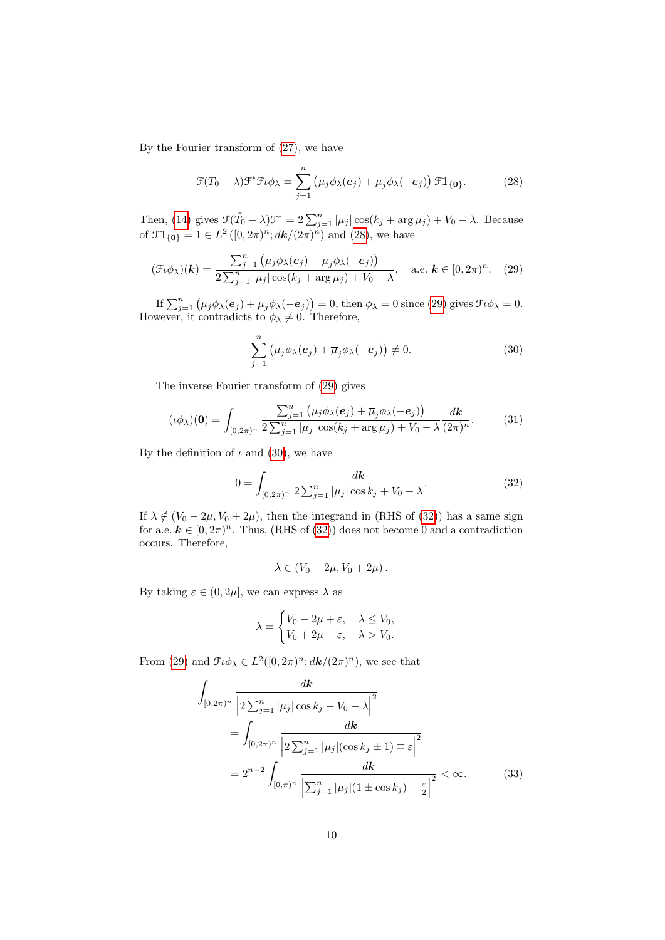By the Fourier transform of [\(27\)](#page-8-4), we have

$$
\mathcal{F}(T_0 - \lambda)\mathcal{F}^*\mathcal{F}\iota\phi_\lambda = \sum_{j=1}^n \left(\mu_j \phi_\lambda(\mathbf{e}_j) + \overline{\mu}_j \phi_\lambda(-\mathbf{e}_j)\right) \mathcal{F}\mathbb{1}_{\{\mathbf{0}\}}.
$$
 (28)

Then, [\(14\)](#page-6-4) gives  $\mathcal{F}(\tilde{T}_0 - \lambda)\mathcal{F}^* = 2\sum_{j=1}^n |\mu_j| \cos(k_j + \arg \mu_j) + V_0 - \lambda$ . Because of  $\mathcal{FI}_{\{\mathbf{0}\}} = 1 \in L^2([0, 2\pi)^n; d\mathbf{k}/(2\pi)^n)$  and  $(28)$ , we have

$$
(\mathcal{F} \iota \phi_{\lambda})(\boldsymbol{k}) = \frac{\sum_{j=1}^{n} (\mu_j \phi_{\lambda}(e_j) + \overline{\mu}_j \phi_{\lambda}(-e_j))}{2\sum_{j=1}^{n} |\mu_j| \cos(k_j + \arg \mu_j) + V_0 - \lambda}, \quad \text{a.e. } \boldsymbol{k} \in [0, 2\pi)^n. \tag{29}
$$

If  $\sum_{j=1}^{n} (\mu_j \phi_\lambda(e_j) + \overline{\mu}_j \phi_\lambda(-e_j)) = 0$ , then  $\phi_\lambda = 0$  since [\(29\)](#page-9-1) gives  $\mathcal{F} \iota \phi_\lambda = 0$ . However, it contradicts to  $\phi_{\lambda} \neq 0$ . Therefore,

<span id="page-9-2"></span><span id="page-9-1"></span><span id="page-9-0"></span>
$$
\sum_{j=1}^{n} \left(\mu_j \phi_\lambda(\mathbf{e}_j) + \overline{\mu}_j \phi_\lambda(-\mathbf{e}_j)\right) \neq 0. \tag{30}
$$

The inverse Fourier transform of [\(29\)](#page-9-1) gives

$$
(\iota \phi_{\lambda})(\mathbf{0}) = \int_{[0,2\pi)^n} \frac{\sum_{j=1}^n (\mu_j \phi_{\lambda}(\mathbf{e}_j) + \overline{\mu}_j \phi_{\lambda}(-\mathbf{e}_j))}{2\sum_{j=1}^n |\mu_j| \cos(k_j + \arg \mu_j) + V_0 - \lambda} \frac{d\mathbf{k}}{(2\pi)^n}.
$$
 (31)

By the definition of  $\iota$  and [\(30\)](#page-9-2), we have

$$
0 = \int_{[0,2\pi)^n} \frac{d\mathbf{k}}{2\sum_{j=1}^n |\mu_j| \cos k_j + V_0 - \lambda}.
$$
 (32)

If  $\lambda \notin (V_0 - 2\mu, V_0 + 2\mu)$ , then the integrand in (RHS of [\(32\)](#page-9-3)) has a same sign for a.e.  $\mathbf{k} \in [0, 2\pi)^n$ . Thus, (RHS of [\(32\)](#page-9-3)) does not become 0 and a contradiction occurs. Therefore,

<span id="page-9-3"></span>
$$
\lambda \in (V_0 - 2\mu, V_0 + 2\mu).
$$

By taking  $\varepsilon \in (0, 2\mu]$ , we can express  $\lambda$  as

<span id="page-9-4"></span>
$$
\lambda = \begin{cases} V_0 - 2\mu + \varepsilon, & \lambda \le V_0, \\ V_0 + 2\mu - \varepsilon, & \lambda > V_0. \end{cases}
$$

From [\(29\)](#page-9-1) and  $\mathcal{F}\iota\phi_{\lambda} \in L^2([0, 2\pi)^n; dk/(2\pi)^n)$ , we see that

$$
\int_{[0,2\pi)^n} \frac{d\mathbf{k}}{\left|2\sum_{j=1}^n |\mu_j|\cos k_j + V_0 - \lambda\right|^2} \n= \int_{[0,2\pi)^n} \frac{d\mathbf{k}}{\left|2\sum_{j=1}^n |\mu_j|\left(\cos k_j \pm 1\right) \mp \varepsilon\right|^2} \n= 2^{n-2} \int_{[0,\pi)^n} \frac{d\mathbf{k}}{\left|\sum_{j=1}^n |\mu_j|\left(1 \pm \cos k_j\right) - \frac{\varepsilon}{2}\right|^2} < \infty.
$$
\n(33)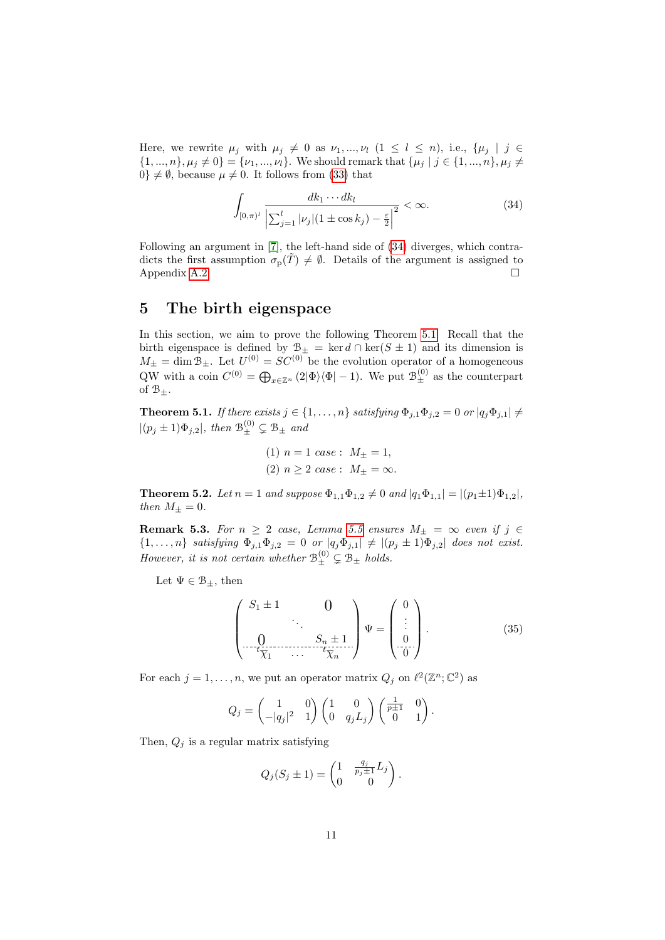Here, we rewrite  $\mu_j$  with  $\mu_j \neq 0$  as  $\nu_1, ..., \nu_l$   $(1 \leq l \leq n)$ , i.e.,  $\{\mu_j \mid j \in$  $\{1, ..., n\}, \mu_j \neq 0\} = {\nu_1, ..., \nu_l}.$  We should remark that  ${\mu_j \mid j \in \{1, ..., n\}, \mu_j \neq 0\}}$  $0\} \neq \emptyset$ , because  $\mu \neq 0$ . It follows from [\(33\)](#page-9-4) that

<span id="page-10-0"></span>
$$
\int_{[0,\pi)^l} \frac{dk_1 \cdots dk_l}{\left| \sum_{j=1}^l |\nu_j| (1 \pm \cos k_j) - \frac{\varepsilon}{2} \right|^2} < \infty. \tag{34}
$$

Following an argument in [\[7\]](#page-17-7), the left-hand side of [\(34\)](#page-10-0) diverges, which contradicts the first assumption  $\sigma_p(T) \neq \emptyset$ . Details of the argument is assigned to Appendix [A.2.](#page-16-0)

#### 5 The birth eigenspace

In this section, we aim to prove the following Theorem [5.1.](#page-10-1) Recall that the birth eigenspace is defined by  $\mathcal{B}_{\pm} = \ker d \cap \ker(S \pm 1)$  and its dimension is  $M_{\pm} = \dim \mathcal{B}_{\pm}$ . Let  $U^{(0)} = SC^{(0)}$  be the evolution operator of a homogeneous QW with a coin  $C^{(0)} = \bigoplus_{x \in \mathbb{Z}^n} (2|\Phi\rangle\langle\Phi| - 1)$ . We put  $\mathcal{B}_{\pm}^{(0)}$  as the counterpart of  $\mathcal{B}_+$ .

<span id="page-10-1"></span>**Theorem 5.1.** If there exists  $j \in \{1, ..., n\}$  satisfying  $\Phi_{j,1}\Phi_{j,2} = 0$  or  $|q_j\Phi_{j,1}| \neq$  $|(p_j \pm 1)\Phi_{j,2}|$ , then  $\mathcal{B}_{\pm}^{(0)} \subsetneq \mathcal{B}_{\pm}$  and

(1) 
$$
n = 1
$$
 case :  $M_{\pm} = 1$ ,  
(2)  $n \ge 2$  case :  $M_{\pm} = \infty$ .

<span id="page-10-3"></span>**Theorem 5.2.** Let  $n = 1$  and suppose  $\Phi_{1,1}\Phi_{1,2} \neq 0$  and  $|q_1\Phi_{1,1}| = |(p_1 \pm 1)\Phi_{1,2}|$ , then  $M_{\pm} = 0$ .

**Remark 5.3.** For  $n \geq 2$  case, Lemma [5.5](#page-11-0) ensures  $M_{\pm} = \infty$  even if  $j \in$  $\{1,\ldots,n\}$  satisfying  $\Phi_{j,1}\Phi_{j,2}=0$  or  $|q_j\Phi_{j,1}|\neq |(p_j\pm 1)\Phi_{j,2}|$  does not exist. However, it is not certain whether  $\mathcal{B}_{\pm}^{(0)} \subsetneq \mathcal{B}_{\pm}$  holds.

Let  $\Psi \in \mathcal{B}_+$ , then

<span id="page-10-2"></span>
$$
\begin{pmatrix} S_1 \pm 1 & 0 \\ \vdots & \ddots & \vdots \\ 0 & S_n \pm 1 \\ \hline t_{\overline{\chi}_1} & \cdots & t_{\overline{\chi}_n} \end{pmatrix} \Psi = \begin{pmatrix} 0 \\ \vdots \\ 0 \\ \hline 0 \end{pmatrix} . \tag{35}
$$

For each  $j = 1, ..., n$ , we put an operator matrix  $Q_j$  on  $\ell^2(\mathbb{Z}^n; \mathbb{C}^2)$  as

$$
Q_j = \begin{pmatrix} 1 & 0 \\ -|q_j|^2 & 1 \end{pmatrix} \begin{pmatrix} 1 & 0 \\ 0 & q_j L_j \end{pmatrix} \begin{pmatrix} \frac{1}{p+1} & 0 \\ 0 & 1 \end{pmatrix}.
$$

Then,  $Q_i$  is a regular matrix satisfying

$$
Q_j(S_j \pm 1) = \begin{pmatrix} 1 & \frac{q_j}{p_j \pm 1} L_j \\ 0 & 0 \end{pmatrix}.
$$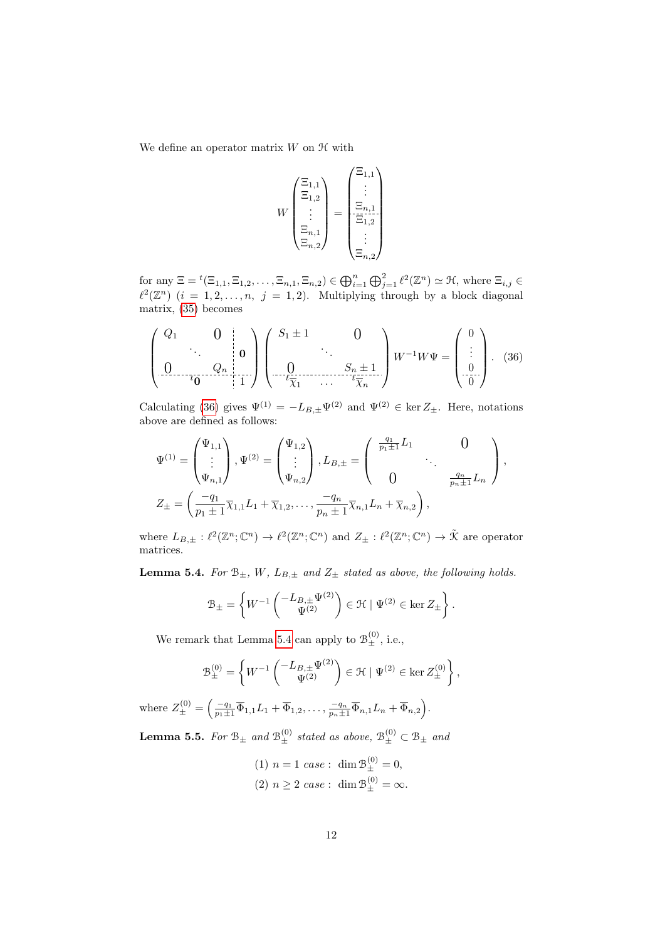We define an operator matrix  $W$  on  $H$  with

<span id="page-11-1"></span>
$$
W\begin{pmatrix} \Xi_{1,1} \\ \Xi_{1,2} \\ \vdots \\ \Xi_{n,1} \\ \Xi_{n,2} \end{pmatrix} = \begin{pmatrix} \Xi_{1,1} \\ \vdots \\ \Xi_{1,2} \\ \Xi_{1,2} \\ \vdots \\ \Xi_{n,2} \end{pmatrix}
$$

for any  $\Xi = {}^t(\Xi_{1,1}, \Xi_{1,2}, \ldots, \Xi_{n,1}, \Xi_{n,2}) \in \bigoplus_{i=1}^n \bigoplus_{j=1}^2 \ell^2(\mathbb{Z}^n) \simeq \mathfrak{H}$ , where  $\Xi_{i,j} \in$  $\ell^2(\mathbb{Z}^n)$   $(i = 1, 2, \ldots, n, j = 1, 2)$ . Multiplying through by a block diagonal matrix, [\(35\)](#page-10-2) becomes

$$
\left(\begin{array}{ccc} Q_1 & 0 \\ \vdots & \ddots & 0 \\ 0 & \ddots & Q_n & 1 \end{array}\right) \left(\begin{array}{ccc} S_1 \pm 1 & 0 \\ \vdots & \ddots & \vdots \\ \vdots & \ddots & \ddots & \vdots \\ \hline t_{\overline{\chi}_1} & \ddots & \ddots & t_{\overline{\chi}_n} \end{array}\right) W^{-1} W \Psi = \left(\begin{array}{c} 0 \\ \vdots \\ 0 \\ 0 \end{array}\right). \tag{36}
$$

Calculating [\(36\)](#page-11-1) gives  $\Psi^{(1)} = -L_{B,\pm} \Psi^{(2)}$  and  $\Psi^{(2)} \in \text{ker } Z_{\pm}$ . Here, notations above are defined as follows:

$$
\Psi^{(1)} = \begin{pmatrix} \Psi_{1,1} \\ \vdots \\ \Psi_{n,1} \end{pmatrix}, \Psi^{(2)} = \begin{pmatrix} \Psi_{1,2} \\ \vdots \\ \Psi_{n,2} \end{pmatrix}, L_{B,\pm} = \begin{pmatrix} \frac{q_1}{p_1 \pm 1} L_1 & 0 \\ 0 & \ddots \\ 0 & \frac{q_n}{p_n \pm 1} L_n \end{pmatrix},
$$
  

$$
Z_{\pm} = \begin{pmatrix} -q_1 \\ \frac{q_1}{p_1 \pm 1} \overline{\chi}_{1,1} L_1 + \overline{\chi}_{1,2}, \dots, \frac{-q_n}{p_n \pm 1} \overline{\chi}_{n,1} L_n + \overline{\chi}_{n,2} \end{pmatrix},
$$

where  $L_{B,\pm}: \ell^2(\mathbb{Z}^n;\mathbb{C}^n) \to \ell^2(\mathbb{Z}^n;\mathbb{C}^n)$  and  $Z_{\pm}: \ell^2(\mathbb{Z}^n;\mathbb{C}^n) \to \tilde{\mathcal{K}}$  are operator matrices.

<span id="page-11-2"></span>**Lemma 5.4.** For  $\mathcal{B}_{\pm}$ , W,  $L_{B,\pm}$  and  $Z_{\pm}$  stated as above, the following holds.

$$
\mathcal{B}_{\pm} = \left\{ W^{-1} \begin{pmatrix} -L_{B,\pm} \Psi^{(2)} \\ \Psi^{(2)} \end{pmatrix} \in \mathcal{H} \mid \Psi^{(2)} \in \ker Z_{\pm} \right\}.
$$

We remark that Lemma [5.4](#page-11-2) can apply to  $\mathcal{B}_{\pm}^{(0)}$ , i.e.,

$$
\mathcal{B}_{\pm}^{(0)} = \left\{ W^{-1} \begin{pmatrix} -L_{B,\pm} \Psi^{(2)} \\ \Psi^{(2)} \end{pmatrix} \in \mathcal{H} \mid \Psi^{(2)} \in \ker Z_{\pm}^{(0)} \right\},\
$$

where  $Z_{\pm}^{(0)} = \left( \frac{-q_1}{p_1 \pm 1} \overline{\Phi}_{1,1} L_1 + \overline{\Phi}_{1,2}, \ldots, \frac{-q_n}{p_n \pm 1} \overline{\Phi}_{n,1} L_n + \overline{\Phi}_{n,2} \right)$ .

<span id="page-11-0"></span>**Lemma 5.5.** For  $\mathcal{B}_{\pm}$  and  $\mathcal{B}_{\pm}^{(0)}$  stated as above,  $\mathcal{B}_{\pm}^{(0)} \subset \mathcal{B}_{\pm}$  and

(1)  $n = 1$  case: dim  $\mathcal{B}_{\pm}^{(0)} = 0$ , (2)  $n \ge 2 \, case: \dim \mathcal{B}_{\pm}^{(0)} = \infty.$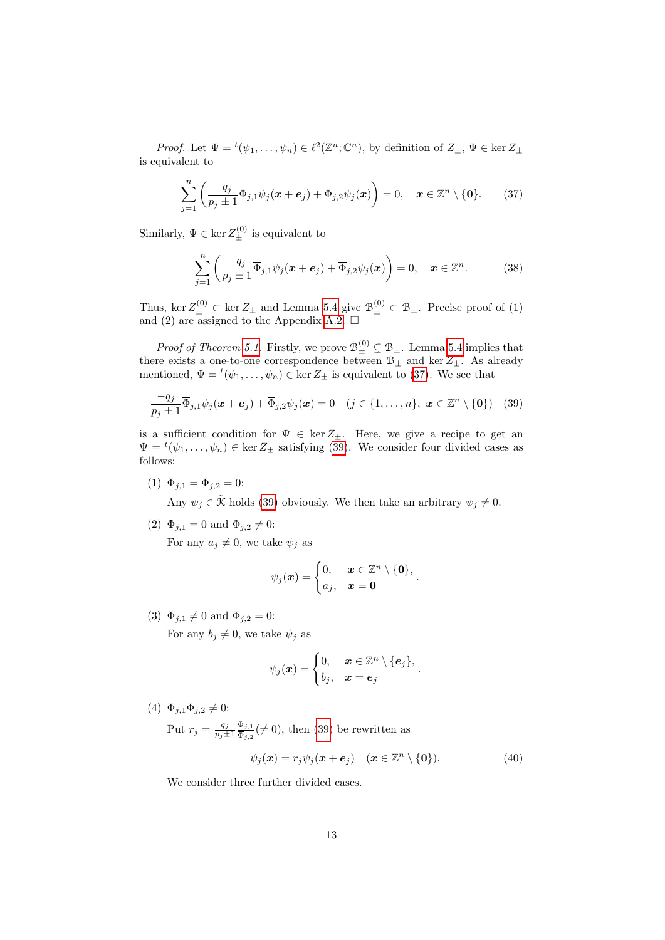*Proof.* Let  $\Psi = {}^t(\psi_1, \ldots, \psi_n) \in \ell^2(\mathbb{Z}^n; \mathbb{C}^n)$ , by definition of  $Z_{\pm}, \Psi \in \ker Z_{\pm}$ is equivalent to

$$
\sum_{j=1}^{n} \left( \frac{-q_j}{p_j \pm 1} \overline{\Phi}_{j,1} \psi_j(\boldsymbol{x} + \boldsymbol{e}_j) + \overline{\Phi}_{j,2} \psi_j(\boldsymbol{x}) \right) = 0, \quad \boldsymbol{x} \in \mathbb{Z}^n \setminus \{0\}. \tag{37}
$$

Similarly,  $\Psi \in \ker Z_{\pm}^{(0)}$  is equivalent to

<span id="page-12-2"></span><span id="page-12-0"></span>
$$
\sum_{j=1}^{n} \left( \frac{-q_j}{p_j \pm 1} \overline{\Phi}_{j,1} \psi_j(\boldsymbol{x} + \boldsymbol{e}_j) + \overline{\Phi}_{j,2} \psi_j(\boldsymbol{x}) \right) = 0, \quad \boldsymbol{x} \in \mathbb{Z}^n.
$$
 (38)

Thus, ker  $Z_{\pm}^{(0)} \subset \text{ker } Z_{\pm}$  and Lemma [5.4](#page-11-2) give  $\mathcal{B}_{\pm}^{(0)} \subset \mathcal{B}_{\pm}$ . Precise proof of (1) and (2) are assigned to the Appendix [A.2.](#page-16-0)  $\Box$ 

*Proof of Theorem [5.1.](#page-10-1)* Firstly, we prove  $\mathcal{B}_{\pm}^{(0)} \subsetneq \mathcal{B}_{\pm}$ . Lemma [5.4](#page-11-2) implies that there exists a one-to-one correspondence between  $B_{\pm}$  and ker  $Z_{\pm}$ . As already mentioned,  $\Psi = {}^t(\psi_1, \ldots, \psi_n) \in \ker Z_{\pm}$  is equivalent to [\(37\)](#page-12-0). We see that

$$
\frac{-q_j}{p_j \pm 1} \overline{\Phi}_{j,1} \psi_j(\boldsymbol{x} + \boldsymbol{e}_j) + \overline{\Phi}_{j,2} \psi_j(\boldsymbol{x}) = 0 \quad (j \in \{1, ..., n\}, \ \boldsymbol{x} \in \mathbb{Z}^n \setminus \{\boldsymbol{0}\}) \quad (39)
$$

is a sufficient condition for  $\Psi \in \ker Z_+$ . Here, we give a recipe to get an  $\Psi = {}^{t}(\psi_1,\ldots,\psi_n) \in \ker Z_{\pm}$  satisfying [\(39\)](#page-12-1). We consider four divided cases as follows:

(1)  $\Phi_{i,1} = \Phi_{i,2} = 0$ :

Any  $\psi_j \in \tilde{\mathcal{K}}$  holds [\(39\)](#page-12-1) obviously. We then take an arbitrary  $\psi_j \neq 0$ .

(2)  $\Phi_{j,1} = 0$  and  $\Phi_{j,2} \neq 0$ :

For any  $a_j \neq 0$ , we take  $\psi_j$  as

<span id="page-12-1"></span>
$$
\psi_j(\boldsymbol{x}) = \begin{cases} 0, & \boldsymbol{x} \in \mathbb{Z}^n \setminus \{\boldsymbol{0}\}, \\ a_j, & \boldsymbol{x} = \boldsymbol{0} \end{cases}.
$$

(3)  $\Phi_{i,1} \neq 0$  and  $\Phi_{i,2} = 0$ :

For any  $b_j \neq 0$ , we take  $\psi_j$  as

$$
\psi_j(\boldsymbol{x}) = \begin{cases} 0, & \boldsymbol{x} \in \mathbb{Z}^n \setminus \{e_j\}, \\ b_j, & \boldsymbol{x} = e_j \end{cases}.
$$

(4)  $\Phi_{j,1}\Phi_{j,2} \neq 0$ :

Put  $r_j = \frac{q_j}{n_i+1}$  $\overline{p_j\pm 1}$  $\Phi_{j,1}$  $\frac{\Psi_{j,1}}{\Phi_{j,2}} (\neq 0)$ , then [\(39\)](#page-12-1) be rewritten as

$$
\psi_j(\boldsymbol{x}) = r_j \psi_j(\boldsymbol{x} + \boldsymbol{e}_j) \quad (\boldsymbol{x} \in \mathbb{Z}^n \setminus \{\boldsymbol{0}\}). \tag{40}
$$

We consider three further divided cases.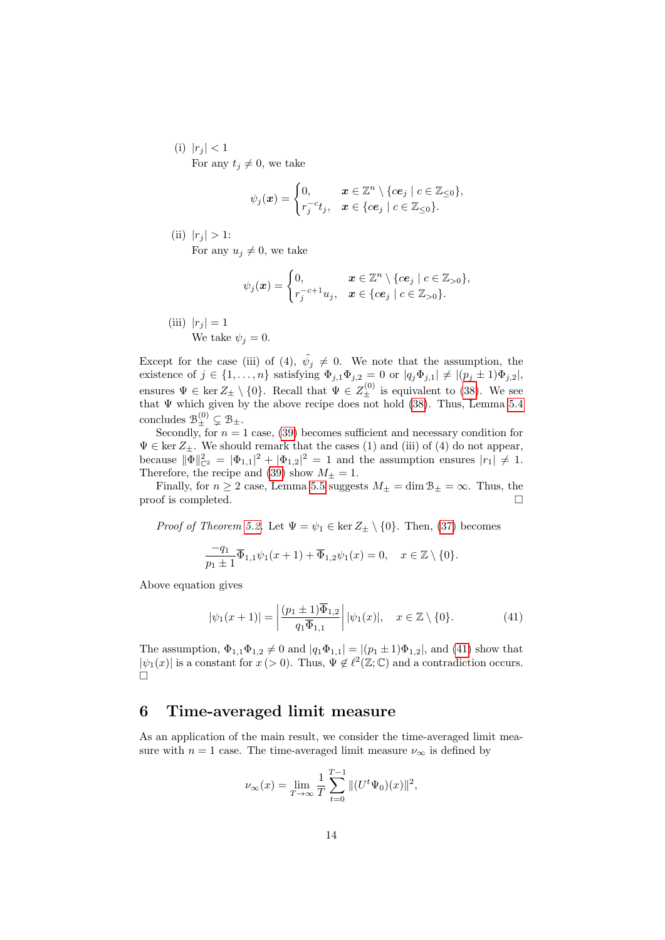(i)  $|r_j| < 1$ For any  $t_j \neq 0$ , we take

$$
\psi_j(\boldsymbol{x}) = \begin{cases} 0, & \boldsymbol{x} \in \mathbb{Z}^n \setminus \{c\mathbf{e}_j \mid c \in \mathbb{Z}_{\leq 0}\}, \\ r_j^{-c}t_j, & \boldsymbol{x} \in \{c\mathbf{e}_j \mid c \in \mathbb{Z}_{\leq 0}\}. \end{cases}
$$

(ii)  $|r_j| > 1$ : For any  $u_i \neq 0$ , we take

$$
\psi_j(\boldsymbol{x}) = \begin{cases} 0, & \boldsymbol{x} \in \mathbb{Z}^n \setminus \{c\boldsymbol{e}_j \mid c \in \mathbb{Z}_{>0}\}, \\ r_j^{-c+1}u_j, & \boldsymbol{x} \in \{c\boldsymbol{e}_j \mid c \in \mathbb{Z}_{>0}\}. \end{cases}
$$

(iii)  $|r_j| = 1$ We take  $\psi_j = 0$ .

Except for the case (iii) of (4),  $\tilde{\psi}_j \neq 0$ . We note that the assumption, the existence of  $j \in \{1, \ldots, n\}$  satisfying  $\Phi_{j,1} \Phi_{j,2} = 0$  or  $|q_j \Phi_{j,1}| \neq |(p_j \pm 1) \Phi_{j,2}|$ , ensures  $\Psi \in \text{ker } Z_{\pm} \setminus \{0\}$ . Recall that  $\Psi \in Z_{\pm}^{(0)}$  is equivalent to [\(38\)](#page-12-2). We see that  $\Psi$  which given by the above recipe does not hold [\(38\)](#page-12-2). Thus, Lemma [5.4](#page-11-2) concludes  $\mathcal{B}_{\pm}^{(0)} \subsetneq \mathcal{B}_{\pm}$ .

Secondly, for  $n = 1$  case, [\(39\)](#page-12-1) becomes sufficient and necessary condition for  $\Psi \in \text{ker } Z_{\pm}$ . We should remark that the cases (1) and (iii) of (4) do not appear, because  $\|\Phi\|_{\mathbb{C}^2}^2 = |\Phi_{1,1}|^2 + |\Phi_{1,2}|^2 = 1$  and the assumption ensures  $|r_1| \neq 1$ . Therefore, the recipe and [\(39\)](#page-12-1) show  $M_{\pm} = 1$ .

Finally, for  $n \geq 2$  case, Lemma [5.5](#page-11-0) suggests  $M_{\pm} = \dim \mathcal{B}_{\pm} = \infty$ . Thus, the proof is completed.

*Proof of Theorem [5.2.](#page-10-3)* Let  $\Psi = \psi_1 \in \ker Z_{\pm} \setminus \{0\}$ . Then, [\(37\)](#page-12-0) becomes

$$
\frac{-q_1}{p_1 \pm 1} \overline{\Phi}_{1,1} \psi_1(x+1) + \overline{\Phi}_{1,2} \psi_1(x) = 0, \quad x \in \mathbb{Z} \setminus \{0\}.
$$

Above equation gives

<span id="page-13-0"></span>
$$
|\psi_1(x+1)| = \left| \frac{(p_1 \pm 1)\overline{\Phi}_{1,2}}{q_1 \overline{\Phi}_{1,1}} \right| |\psi_1(x)|, \quad x \in \mathbb{Z} \setminus \{0\}. \tag{41}
$$

The assumption,  $\Phi_{1,1}\Phi_{1,2} \neq 0$  and  $|q_1\Phi_{1,1}| = |(p_1 \pm 1)\Phi_{1,2}|$ , and [\(41\)](#page-13-0) show that  $|\psi_1(x)|$  is a constant for  $x (> 0)$ . Thus,  $\Psi \notin \ell^2(\mathbb{Z}; \mathbb{C})$  and a contradiction occurs.  $\Box$ 

#### 6 Time-averaged limit measure

As an application of the main result, we consider the time-averaged limit measure with  $n = 1$  case. The time-averaged limit measure  $\nu_{\infty}$  is defined by

$$
\nu_{\infty}(x) = \lim_{T \to \infty} \frac{1}{T} \sum_{t=0}^{T-1} \|(U^t \Psi_0)(x)\|^2,
$$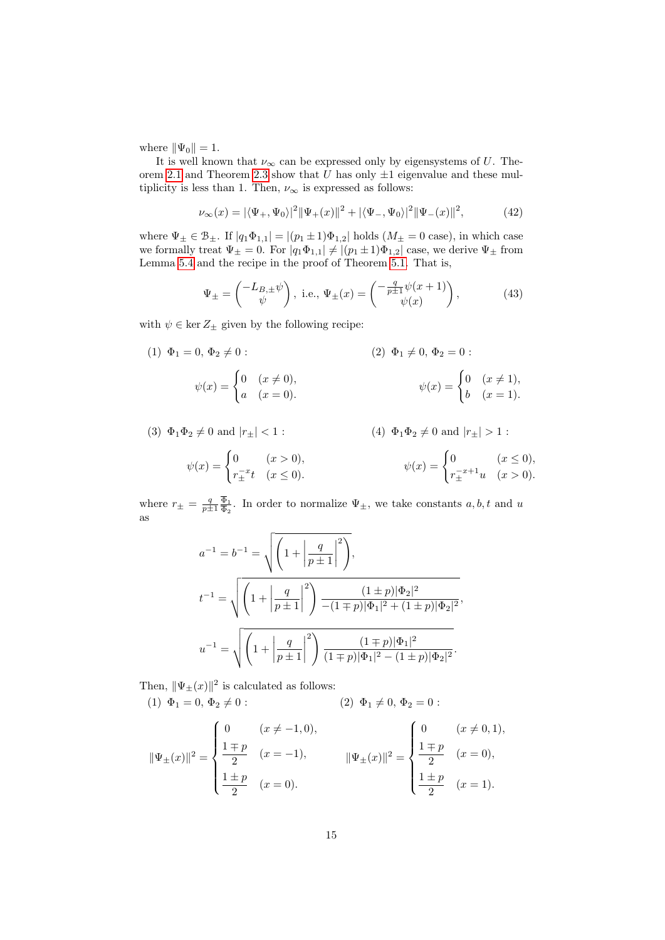where  $\|\Psi_0\| = 1$ .

It is well known that  $\nu_{\infty}$  can be expressed only by eigensystems of U. The-orem [2.1](#page-3-0) and Theorem [2.3](#page-3-1) show that U has only  $\pm 1$  eigenvalue and these multiplicity is less than 1. Then,  $\nu_{\infty}$  is expressed as follows:

$$
\nu_{\infty}(x) = |\langle \Psi_+, \Psi_0 \rangle|^2 \|\Psi_+(x)\|^2 + |\langle \Psi_-, \Psi_0 \rangle|^2 \|\Psi_-(x)\|^2, \tag{42}
$$

where  $\Psi_{\pm} \in \mathcal{B}_{\pm}$ . If  $|q_1 \Phi_{1,1}| = |(p_1 \pm 1)\Phi_{1,2}|$  holds  $(M_{\pm} = 0 \text{ case})$ , in which case we formally treat  $\Psi_{\pm} = 0$ . For  $|q_1 \Phi_{1,1}| \neq |(p_1 \pm 1)\Phi_{1,2}|$  case, we derive  $\Psi_{\pm}$  from Lemma [5.4](#page-11-2) and the recipe in the proof of Theorem [5.1.](#page-10-1) That is,

$$
\Psi_{\pm} = \begin{pmatrix} -L_{B,\pm}\psi \\ \psi \end{pmatrix}, \text{ i.e., } \Psi_{\pm}(x) = \begin{pmatrix} -\frac{q}{p\pm 1}\psi(x+1) \\ \psi(x) \end{pmatrix}, \tag{43}
$$

with  $\psi \in \ker Z_{\pm}$  given by the following recipe:

(1) 
$$
\Phi_1 = 0, \Phi_2 \neq 0
$$
:  
\n
$$
\psi(x) = \begin{cases}\n0 & (x \neq 0), \\
a & (x = 0).\n\end{cases}
$$
\n(2)  $\Phi_1 \neq 0, \Phi_2 = 0$ :  
\n
$$
\psi(x) = \begin{cases}\n0 & (x \neq 1), \\
b & (x = 1).\n\end{cases}
$$

(3) 
$$
\Phi_1 \Phi_2 \neq 0
$$
 and  $|r_{\pm}| < 1$ :  
\n
$$
\psi(x) = \begin{cases}\n0 & (x > 0), \\
r_{\pm}^{-x}t & (x \le 0).\n\end{cases}
$$
\n(4)  $\Phi_1 \Phi_2 \neq 0$  and  $|r_{\pm}| > 1$ :  
\n
$$
\psi(x) = \begin{cases}\n0 & (x \le 0), \\
r_{\pm}^{-x+1}u & (x > 0).\n\end{cases}
$$

where  $r_{\pm} = \frac{q}{p \pm 1} \frac{\Phi_1}{\overline{\Phi}_2}$  $\frac{\Phi_1}{\Phi_2}$ . In order to normalize  $\Psi_{\pm}$ , we take constants  $a, b, t$  and u as

$$
a^{-1} = b^{-1} = \sqrt{\left(1 + \left|\frac{q}{p \pm 1}\right|^2\right)},
$$
  

$$
t^{-1} = \sqrt{\left(1 + \left|\frac{q}{p \pm 1}\right|^2\right) \frac{(1 \pm p)|\Phi_2|^2}{-(1 \mp p)|\Phi_1|^2 + (1 \pm p)|\Phi_2|^2}},
$$
  

$$
u^{-1} = \sqrt{\left(1 + \left|\frac{q}{p \pm 1}\right|^2\right) \frac{(1 \mp p)|\Phi_1|^2}{(1 \mp p)|\Phi_1|^2 - (1 \pm p)|\Phi_2|^2}}.
$$

Then,  $\|\Psi_{\pm}(x)\|^2$  is calculated as follows:

(1) 
$$
\Phi_1 = 0, \Phi_2 \neq 0
$$
:   
 (2)  $\Phi_1 \neq 0, \Phi_2 = 0$ :

$$
\|\Psi_{\pm}(x)\|^2 = \begin{cases} 0 & (x \neq -1,0), \\ \frac{1 \mp p}{2} & (x = -1), \\ \frac{1 \pm p}{2} & (x = 0). \end{cases} \qquad \|\Psi_{\pm}(x)\|^2 = \begin{cases} 0 & (x \neq 0,1), \\ \frac{1 \mp p}{2} & (x = 0), \\ \frac{1 \pm p}{2} & (x = 1). \end{cases}
$$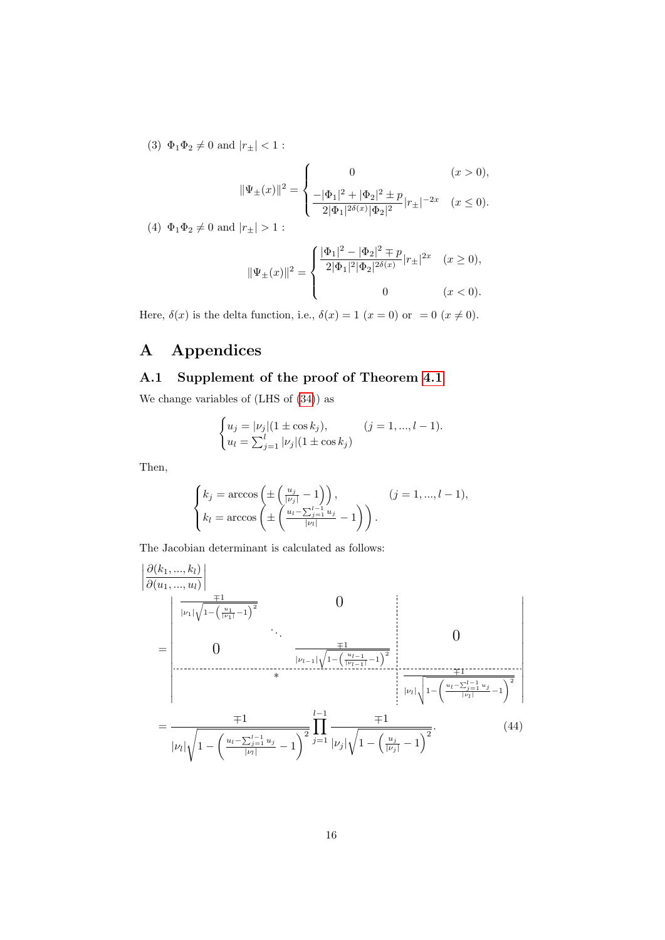(3)  $\Phi_1 \Phi_2 \neq 0$  and  $|r_{\pm}| < 1$ :

$$
\|\Psi_{\pm}(x)\|^2 = \begin{cases} 0 & (x > 0), \\ \frac{-|\Phi_1|^2 + |\Phi_2|^2 \pm p}{2|\Phi_1|^{2\delta(x)}|\Phi_2|^2} |r_{\pm}|^{-2x} & (x \le 0). \end{cases}
$$

(4)  $\Phi_1 \Phi_2 \neq 0$  and  $|r_{\pm}| > 1$ :

$$
\|\Psi_{\pm}(x)\|^2=\left\{\begin{aligned} &\frac{|\Phi_1|^2-|\Phi_2|^2\mp p}{2|\Phi_1|^2|\Phi_2|^{2\delta(x)}}|r_{\pm}|^{2x} & (x\geq 0),\\ & & 0 & (x<0). \end{aligned}\right.
$$

Here,  $\delta(x)$  is the delta function, i.e.,  $\delta(x) = 1$   $(x = 0)$  or  $= 0$   $(x \neq 0)$ .

# A Appendices

#### A.1 Supplement of the proof of Theorem [4.1](#page-5-0)

We change variables of (LHS of [\(34\)](#page-10-0)) as

$$
\begin{cases} u_j = |\nu_j| (1 \pm \cos k_j), & (j = 1, ..., l - 1). \\ u_l = \sum_{j=1}^l |\nu_j| (1 \pm \cos k_j) \end{cases}
$$

Then,

<span id="page-15-0"></span>
$$
\begin{cases}\nk_j = \arccos\left(\pm \left(\frac{u_j}{|\nu_j|} - 1\right)\right), & (j = 1, \dots, l - 1), \\
k_l = \arccos\left(\pm \left(\frac{u_l - \sum_{j=1}^{l-1} u_j}{|\nu_l|} - 1\right)\right).\n\end{cases}
$$

The Jacobian determinant is calculated as follows:

$$
\begin{aligned}\n&\left|\frac{\partial(k_1,...,k_l)}{\partial(u_1,...,u_l)}\right| \\
&= \begin{vmatrix}\n&\frac{\mp 1}{|\nu_1|\sqrt{1-(\frac{u_1}{|\nu_1|}-1)^2}} & 0 \\
&\ddots & \frac{\mp 1}{|\nu_{l-1}|\sqrt{1-(\frac{u_{l-1}}{|\nu_{l-1}|}-1)^2}} \\
& &\ast & 0\n\end{vmatrix} \\
&= \frac{\mp 1}{|\nu_l|\sqrt{1-(\frac{u_l-\sum_{j=1}^{l-1}u_j}{|\nu_l|}-1)^2}} \begin{vmatrix}\n&\frac{\mp 1}{|\nu_l|\sqrt{1-(\frac{u_l-\sum_{j=1}^{l-1}u_j}{|\nu_l|}-1)^2}}\n\end{vmatrix} \\
&= \frac{\mp 1}{|\nu_l|\sqrt{1-(\frac{u_l-\sum_{j=1}^{l-1}u_j}{|\nu_l|}-1)^2}} \begin{vmatrix}\n&\frac{\mp 1}{|\nu_l|\sqrt{1-(\frac{u_j}{|\nu_l|}-1)^2}} & (44)\n\end{vmatrix}\n\end{aligned}
$$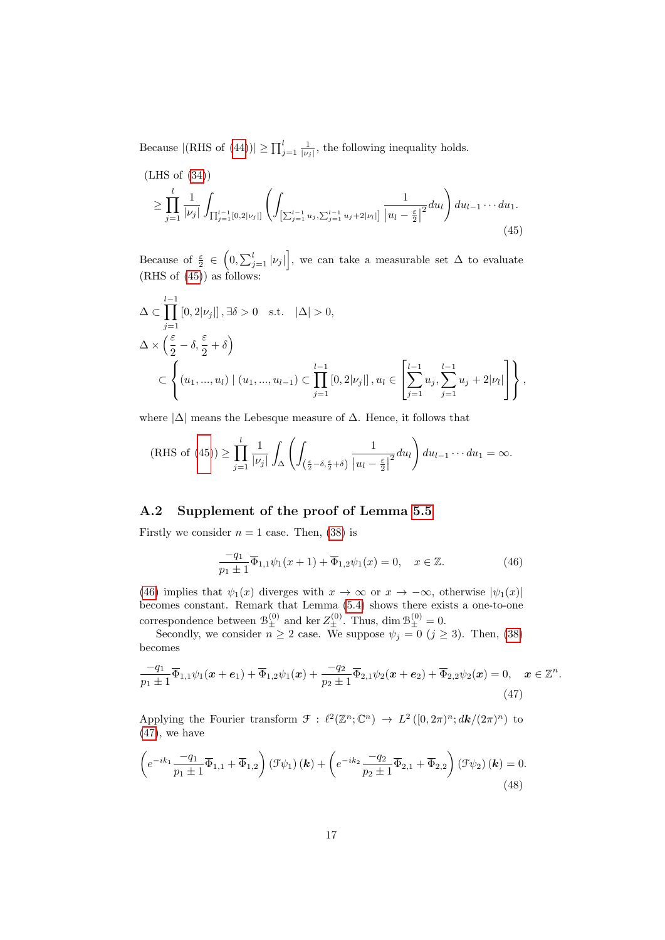Because  $|(\text{RHS of } (44))| \ge \prod_{j=1}^{l} \frac{1}{|\nu_j|}$  $|(\text{RHS of } (44))| \ge \prod_{j=1}^{l} \frac{1}{|\nu_j|}$  $|(\text{RHS of } (44))| \ge \prod_{j=1}^{l} \frac{1}{|\nu_j|}$ , the following inequality holds.

<span id="page-16-1"></span>(LHS of (34))  
\n
$$
\geq \prod_{j=1}^{l} \frac{1}{|\nu_j|} \int_{\prod_{j=1}^{l-1} [0,2|\nu_j|]} \left( \int_{ \left[ \sum_{j=1}^{l-1} u_j, \sum_{j=1}^{l-1} u_j + 2|\nu_l| \right] } \frac{1}{|u_l - \frac{\varepsilon}{2}|^2} du_l \right) du_{l-1} \cdots du_1.
$$
\n(45)

Because of  $\frac{\varepsilon}{2} \in (0, \sum_{j=1}^l |\nu_j|]$ , we can take a measurable set  $\Delta$  to evaluate  $(RHS of (45))$  $(RHS of (45))$  $(RHS of (45))$  as follows:

$$
\Delta \subset \prod_{j=1}^{l-1} [0, 2|\nu_j|], \exists \delta > 0 \text{ s.t. } |\Delta| > 0,\n\Delta \times \left(\frac{\varepsilon}{2} - \delta, \frac{\varepsilon}{2} + \delta\right) \n\subset \left\{ (u_1, ..., u_l) \mid (u_1, ..., u_{l-1}) \subset \prod_{j=1}^{l-1} [0, 2|\nu_j|], u_l \in \left[\sum_{j=1}^{l-1} u_j, \sum_{j=1}^{l-1} u_j + 2|\nu_l|\right] \right\},
$$

where  $|\Delta|$  means the Lebesque measure of  $\Delta$ . Hence, it follows that

(RHS of (45)) 
$$
\geq \prod_{j=1}^{l} \frac{1}{|\nu_j|} \int_{\Delta} \left( \int_{\left(\frac{\varepsilon}{2} - \delta, \frac{\varepsilon}{2} + \delta\right)} \frac{1}{|u_l - \frac{\varepsilon}{2}|^2} du_l \right) du_{l-1} \cdots du_1 = \infty.
$$

#### <span id="page-16-0"></span>A.2 Supplement of the proof of Lemma [5.5](#page-11-0)

Firstly we consider  $n = 1$  case. Then, [\(38\)](#page-12-2) is

<span id="page-16-4"></span><span id="page-16-3"></span><span id="page-16-2"></span>
$$
\frac{-q_1}{p_1 \pm 1} \overline{\Phi}_{1,1} \psi_1(x+1) + \overline{\Phi}_{1,2} \psi_1(x) = 0, \quad x \in \mathbb{Z}.
$$
 (46)

[\(46\)](#page-16-2) implies that  $\psi_1(x)$  diverges with  $x \to \infty$  or  $x \to -\infty$ , otherwise  $|\psi_1(x)|$ becomes constant. Remark that Lemma [\(5.4\)](#page-11-2) shows there exists a one-to-one correspondence between  $\mathcal{B}_{\pm}^{(0)}$  and ker  $Z_{\pm}^{(0)}$ . Thus, dim  $\mathcal{B}_{\pm}^{(0)} = 0$ .

Secondly, we consider  $n \geq 2$  case. We suppose  $\psi_j = 0$   $(j \geq 3)$ . Then, [\(38\)](#page-12-2) becomes

$$
\frac{-q_1}{p_1 \pm 1} \overline{\Phi}_{1,1} \psi_1(\boldsymbol{x} + \boldsymbol{e}_1) + \overline{\Phi}_{1,2} \psi_1(\boldsymbol{x}) + \frac{-q_2}{p_2 \pm 1} \overline{\Phi}_{2,1} \psi_2(\boldsymbol{x} + \boldsymbol{e}_2) + \overline{\Phi}_{2,2} \psi_2(\boldsymbol{x}) = 0, \quad \boldsymbol{x} \in \mathbb{Z}^n.
$$
\n(47)

Applying the Fourier transform  $\mathcal{F} : \ell^2(\mathbb{Z}^n;\mathbb{C}^n) \to L^2([0, 2\pi)^n; dk/(2\pi)^n)$  to  $(47)$ , we have

$$
\left(e^{-ik_1}\frac{-q_1}{p_1\pm 1}\overline{\Phi}_{1,1}+\overline{\Phi}_{1,2}\right)\left(\mathcal{F}\psi_1\right)(\mathbf{k})+\left(e^{-ik_2}\frac{-q_2}{p_2\pm 1}\overline{\Phi}_{2,1}+\overline{\Phi}_{2,2}\right)\left(\mathcal{F}\psi_2\right)(\mathbf{k})=0.
$$
\n(48)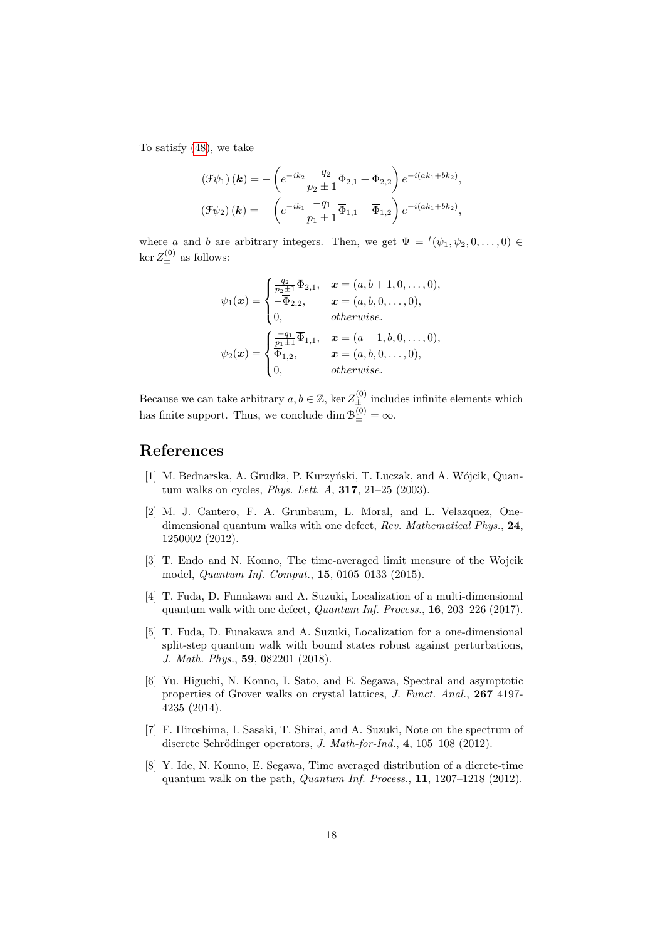To satisfy [\(48\)](#page-16-4), we take

$$
\begin{aligned} \left(\mathcal{F}\psi_1\right)(\boldsymbol{k}) &= -\left(e^{-ik_2}\frac{-q_2}{p_2\pm 1}\overline{\Phi}_{2,1} + \overline{\Phi}_{2,2}\right)e^{-i(ak_1+bk_2)},\\ \left(\mathcal{F}\psi_2\right)(\boldsymbol{k}) &= \left(e^{-ik_1}\frac{-q_1}{p_1\pm 1}\overline{\Phi}_{1,1} + \overline{\Phi}_{1,2}\right)e^{-i(ak_1+bk_2)}, \end{aligned}
$$

where a and b are arbitrary integers. Then, we get  $\Psi = {}^t(\psi_1, \psi_2, 0, \dots, 0) \in$  $\ker Z_{\pm}^{(0)}$  as follows:

$$
\psi_1(\mathbf{x}) = \begin{cases}\n\frac{q_2}{p_2 \pm 1} \overline{\Phi}_{2,1}, & \mathbf{x} = (a, b + 1, 0, \dots, 0), \\
-\overline{\Phi}_{2,2}, & \mathbf{x} = (a, b, 0, \dots, 0), \\
0, & otherwise.\n\end{cases}
$$
\n
$$
\psi_2(\mathbf{x}) = \begin{cases}\n\frac{q_1}{p_1 \pm 1} \overline{\Phi}_{1,1}, & \mathbf{x} = (a + 1, b, 0, \dots, 0), \\
\overline{\Phi}_{1,2}, & \mathbf{x} = (a, b, 0, \dots, 0), \\
0, & otherwise.\n\end{cases}
$$

Because we can take arbitrary  $a, b \in \mathbb{Z}$ , ker  $Z_{\pm}^{(0)}$  includes infinite elements which has finite support. Thus, we conclude dim  $\mathcal{B}_{\pm}^{(0)} = \infty$ .

#### References

- <span id="page-17-3"></span>[1] M. Bednarska, A. Grudka, P. Kurzyński, T. Luczak, and A. Wójcik, Quantum walks on cycles, Phys. Lett. A, 317, 21–25 (2003).
- <span id="page-17-5"></span>[2] M. J. Cantero, F. A. Grunbaum, L. Moral, and L. Velazquez, Onedimensional quantum walks with one defect, Rev. Mathematical Phys., 24, 1250002 (2012).
- <span id="page-17-6"></span>[3] T. Endo and N. Konno, The time-averaged limit measure of the Wojcik model, Quantum Inf. Comput., 15, 0105–0133 (2015).
- <span id="page-17-0"></span>[4] T. Fuda, D. Funakawa and A. Suzuki, Localization of a multi-dimensional quantum walk with one defect, Quantum Inf. Process., 16, 203–226 (2017).
- <span id="page-17-1"></span>[5] T. Fuda, D. Funakawa and A. Suzuki, Localization for a one-dimensional split-step quantum walk with bound states robust against perturbations, J. Math. Phys., 59, 082201 (2018).
- <span id="page-17-2"></span>[6] Yu. Higuchi, N. Konno, I. Sato, and E. Segawa, Spectral and asymptotic properties of Grover walks on crystal lattices, J. Funct. Anal., 267 4197- 4235 (2014).
- <span id="page-17-7"></span>[7] F. Hiroshima, I. Sasaki, T. Shirai, and A. Suzuki, Note on the spectrum of discrete Schrödinger operators, J. Math-for-Ind.,  $4, 105-108$  (2012).
- <span id="page-17-4"></span>[8] Y. Ide, N. Konno, E. Segawa, Time averaged distribution of a dicrete-time quantum walk on the path, Quantum Inf. Process., 11, 1207–1218 (2012).